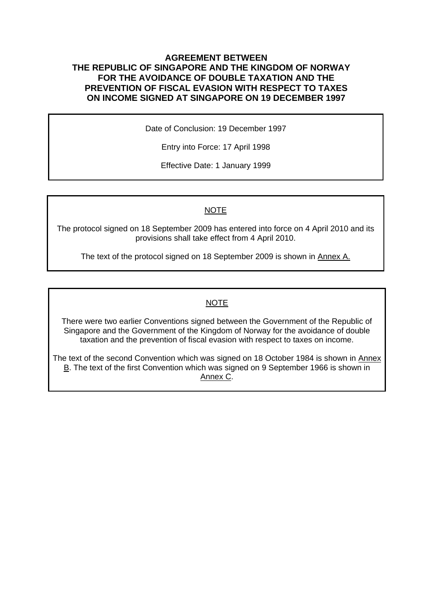## **AGREEMENT BETWEEN THE REPUBLIC OF SINGAPORE AND THE KINGDOM OF NORWAY FOR THE AVOIDANCE OF DOUBLE TAXATION AND THE PREVENTION OF FISCAL EVASION WITH RESPECT TO TAXES ON INCOME SIGNED AT SINGAPORE ON 19 DECEMBER 1997**

Date of Conclusion: 19 December 1997

Entry into Force: 17 April 1998

Effective Date: 1 January 1999

## NOTE

The protocol signed on 18 September 2009 has entered into force on 4 April 2010 and its provisions shall take effect from 4 April 2010.

The text of the protocol signed on 18 September 2009 is shown in Annex A.

#### NOTE

There were two earlier Conventions signed between the Government of the Republic of Singapore and the Government of the Kingdom of Norway for the avoidance of double taxation and the prevention of fiscal evasion with respect to taxes on income.

The text of the second Convention which was signed on 18 October 1984 is shown in Annex B. The text of the first Convention which was signed on 9 September 1966 is shown in Annex C.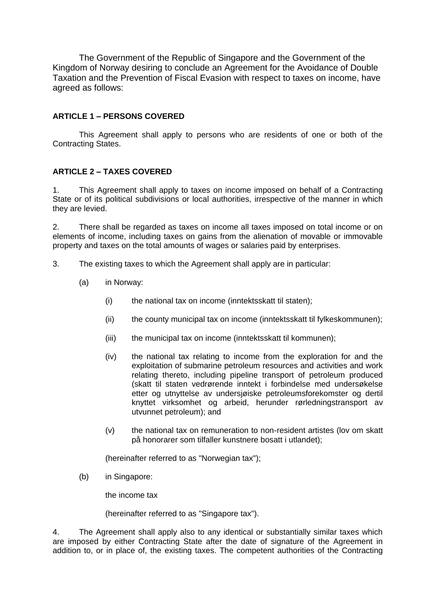The Government of the Republic of Singapore and the Government of the Kingdom of Norway desiring to conclude an Agreement for the Avoidance of Double Taxation and the Prevention of Fiscal Evasion with respect to taxes on income, have agreed as follows:

## **ARTICLE 1 – PERSONS COVERED**

This Agreement shall apply to persons who are residents of one or both of the Contracting States.

## **ARTICLE 2 – TAXES COVERED**

1. This Agreement shall apply to taxes on income imposed on behalf of a Contracting State or of its political subdivisions or local authorities, irrespective of the manner in which they are levied.

2. There shall be regarded as taxes on income all taxes imposed on total income or on elements of income, including taxes on gains from the alienation of movable or immovable property and taxes on the total amounts of wages or salaries paid by enterprises.

- 3. The existing taxes to which the Agreement shall apply are in particular:
	- (a) in Norway:
		- (i) the national tax on income (inntektsskatt til staten);
		- (ii) the county municipal tax on income (inntektsskatt til fylkeskommunen);
		- (iii) the municipal tax on income (inntektsskatt til kommunen);
		- (iv) the national tax relating to income from the exploration for and the exploitation of submarine petroleum resources and activities and work relating thereto, including pipeline transport of petroleum produced (skatt til staten vedrørende inntekt i forbindelse med undersøkelse etter og utnyttelse av undersjøiske petroleumsforekomster og dertil knyttet virksomhet og arbeid, herunder rørledningstransport av utvunnet petroleum); and
		- (v) the national tax on remuneration to non-resident artistes (lov om skatt på honorarer som tilfaller kunstnere bosatt i utlandet);

(hereinafter referred to as "Norwegian tax");

(b) in Singapore:

the income tax

(hereinafter referred to as "Singapore tax").

4. The Agreement shall apply also to any identical or substantially similar taxes which are imposed by either Contracting State after the date of signature of the Agreement in addition to, or in place of, the existing taxes. The competent authorities of the Contracting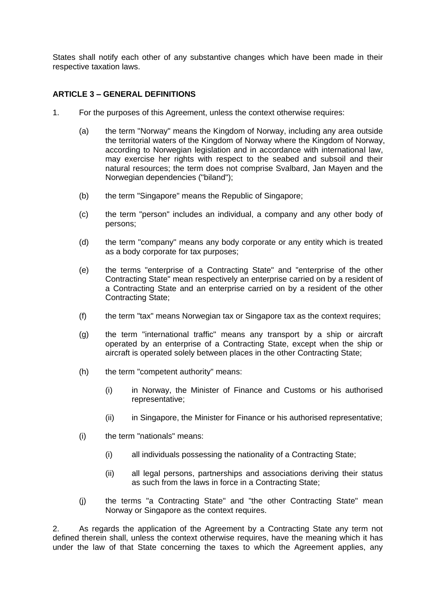States shall notify each other of any substantive changes which have been made in their respective taxation laws.

## **ARTICLE 3 – GENERAL DEFINITIONS**

- 1. For the purposes of this Agreement, unless the context otherwise requires:
	- (a) the term "Norway" means the Kingdom of Norway, including any area outside the territorial waters of the Kingdom of Norway where the Kingdom of Norway, according to Norwegian legislation and in accordance with international law, may exercise her rights with respect to the seabed and subsoil and their natural resources; the term does not comprise Svalbard, Jan Mayen and the Norwegian dependencies ("biland");
	- (b) the term "Singapore" means the Republic of Singapore;
	- (c) the term "person" includes an individual, a company and any other body of persons;
	- (d) the term "company" means any body corporate or any entity which is treated as a body corporate for tax purposes;
	- (e) the terms "enterprise of a Contracting State" and "enterprise of the other Contracting State" mean respectively an enterprise carried on by a resident of a Contracting State and an enterprise carried on by a resident of the other Contracting State;
	- (f) the term "tax" means Norwegian tax or Singapore tax as the context requires;
	- (g) the term "international traffic" means any transport by a ship or aircraft operated by an enterprise of a Contracting State, except when the ship or aircraft is operated solely between places in the other Contracting State;
	- (h) the term "competent authority" means:
		- (i) in Norway, the Minister of Finance and Customs or his authorised representative;
		- (ii) in Singapore, the Minister for Finance or his authorised representative;
	- (i) the term "nationals" means:
		- (i) all individuals possessing the nationality of a Contracting State;
		- (ii) all legal persons, partnerships and associations deriving their status as such from the laws in force in a Contracting State;
	- (j) the terms "a Contracting State" and "the other Contracting State" mean Norway or Singapore as the context requires.

2. As regards the application of the Agreement by a Contracting State any term not defined therein shall, unless the context otherwise requires, have the meaning which it has under the law of that State concerning the taxes to which the Agreement applies, any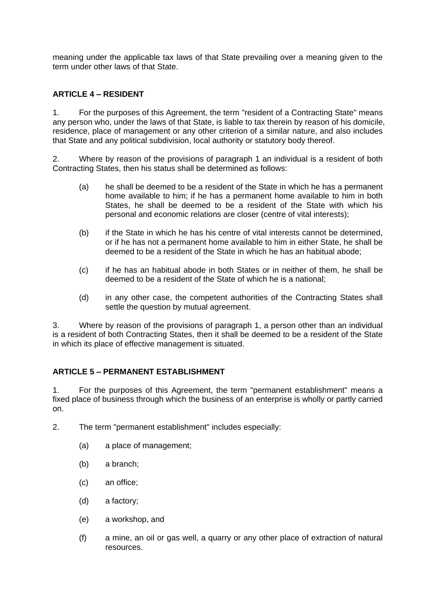meaning under the applicable tax laws of that State prevailing over a meaning given to the term under other laws of that State.

## **ARTICLE 4 – RESIDENT**

1. For the purposes of this Agreement, the term "resident of a Contracting State" means any person who, under the laws of that State, is liable to tax therein by reason of his domicile, residence, place of management or any other criterion of a similar nature, and also includes that State and any political subdivision, local authority or statutory body thereof.

2. Where by reason of the provisions of paragraph 1 an individual is a resident of both Contracting States, then his status shall be determined as follows:

- (a) he shall be deemed to be a resident of the State in which he has a permanent home available to him; if he has a permanent home available to him in both States, he shall be deemed to be a resident of the State with which his personal and economic relations are closer (centre of vital interests);
- (b) if the State in which he has his centre of vital interests cannot be determined, or if he has not a permanent home available to him in either State, he shall be deemed to be a resident of the State in which he has an habitual abode;
- (c) if he has an habitual abode in both States or in neither of them, he shall be deemed to be a resident of the State of which he is a national;
- (d) in any other case, the competent authorities of the Contracting States shall settle the question by mutual agreement.

3. Where by reason of the provisions of paragraph 1, a person other than an individual is a resident of both Contracting States, then it shall be deemed to be a resident of the State in which its place of effective management is situated.

#### **ARTICLE 5 – PERMANENT ESTABLISHMENT**

1. For the purposes of this Agreement, the term "permanent establishment" means a fixed place of business through which the business of an enterprise is wholly or partly carried on.

- 2. The term "permanent establishment" includes especially:
	- (a) a place of management;
	- (b) a branch;
	- (c) an office;
	- (d) a factory;
	- (e) a workshop, and
	- (f) a mine, an oil or gas well, a quarry or any other place of extraction of natural resources.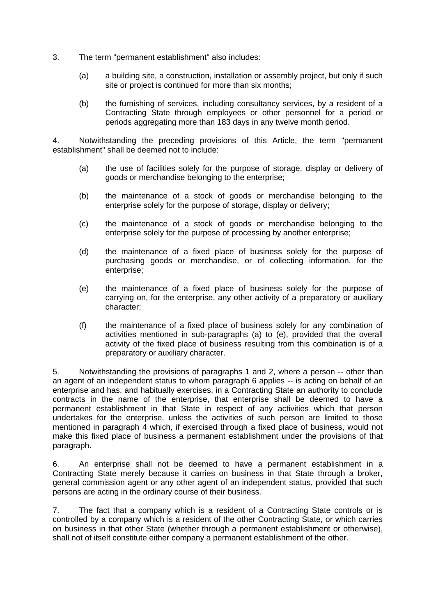- 3. The term "permanent establishment" also includes:
	- (a) a building site, a construction, installation or assembly project, but only if such site or project is continued for more than six months;
	- (b) the furnishing of services, including consultancy services, by a resident of a Contracting State through employees or other personnel for a period or periods aggregating more than 183 days in any twelve month period.

4. Notwithstanding the preceding provisions of this Article, the term "permanent establishment" shall be deemed not to include:

- (a) the use of facilities solely for the purpose of storage, display or delivery of goods or merchandise belonging to the enterprise;
- (b) the maintenance of a stock of goods or merchandise belonging to the enterprise solely for the purpose of storage, display or delivery;
- (c) the maintenance of a stock of goods or merchandise belonging to the enterprise solely for the purpose of processing by another enterprise;
- (d) the maintenance of a fixed place of business solely for the purpose of purchasing goods or merchandise, or of collecting information, for the enterprise;
- (e) the maintenance of a fixed place of business solely for the purpose of carrying on, for the enterprise, any other activity of a preparatory or auxiliary character;
- (f) the maintenance of a fixed place of business solely for any combination of activities mentioned in sub-paragraphs (a) to (e), provided that the overall activity of the fixed place of business resulting from this combination is of a preparatory or auxiliary character.

5. Notwithstanding the provisions of paragraphs 1 and 2, where a person -- other than an agent of an independent status to whom paragraph 6 applies -- is acting on behalf of an enterprise and has, and habitually exercises, in a Contracting State an authority to conclude contracts in the name of the enterprise, that enterprise shall be deemed to have a permanent establishment in that State in respect of any activities which that person undertakes for the enterprise, unless the activities of such person are limited to those mentioned in paragraph 4 which, if exercised through a fixed place of business, would not make this fixed place of business a permanent establishment under the provisions of that paragraph.

6. An enterprise shall not be deemed to have a permanent establishment in a Contracting State merely because it carries on business in that State through a broker, general commission agent or any other agent of an independent status, provided that such persons are acting in the ordinary course of their business.

7. The fact that a company which is a resident of a Contracting State controls or is controlled by a company which is a resident of the other Contracting State, or which carries on business in that other State (whether through a permanent establishment or otherwise), shall not of itself constitute either company a permanent establishment of the other.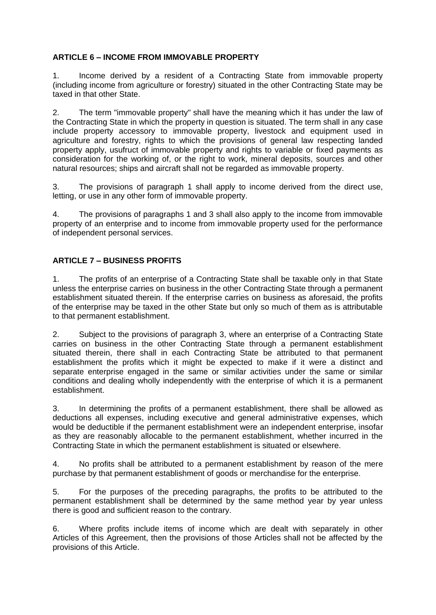## **ARTICLE 6 – INCOME FROM IMMOVABLE PROPERTY**

1. Income derived by a resident of a Contracting State from immovable property (including income from agriculture or forestry) situated in the other Contracting State may be taxed in that other State.

2. The term "immovable property" shall have the meaning which it has under the law of the Contracting State in which the property in question is situated. The term shall in any case include property accessory to immovable property, livestock and equipment used in agriculture and forestry, rights to which the provisions of general law respecting landed property apply, usufruct of immovable property and rights to variable or fixed payments as consideration for the working of, or the right to work, mineral deposits, sources and other natural resources; ships and aircraft shall not be regarded as immovable property.

3. The provisions of paragraph 1 shall apply to income derived from the direct use, letting, or use in any other form of immovable property.

4. The provisions of paragraphs 1 and 3 shall also apply to the income from immovable property of an enterprise and to income from immovable property used for the performance of independent personal services.

## **ARTICLE 7 – BUSINESS PROFITS**

1. The profits of an enterprise of a Contracting State shall be taxable only in that State unless the enterprise carries on business in the other Contracting State through a permanent establishment situated therein. If the enterprise carries on business as aforesaid, the profits of the enterprise may be taxed in the other State but only so much of them as is attributable to that permanent establishment.

2. Subject to the provisions of paragraph 3, where an enterprise of a Contracting State carries on business in the other Contracting State through a permanent establishment situated therein, there shall in each Contracting State be attributed to that permanent establishment the profits which it might be expected to make if it were a distinct and separate enterprise engaged in the same or similar activities under the same or similar conditions and dealing wholly independently with the enterprise of which it is a permanent establishment.

3. In determining the profits of a permanent establishment, there shall be allowed as deductions all expenses, including executive and general administrative expenses, which would be deductible if the permanent establishment were an independent enterprise, insofar as they are reasonably allocable to the permanent establishment, whether incurred in the Contracting State in which the permanent establishment is situated or elsewhere.

4. No profits shall be attributed to a permanent establishment by reason of the mere purchase by that permanent establishment of goods or merchandise for the enterprise.

5. For the purposes of the preceding paragraphs, the profits to be attributed to the permanent establishment shall be determined by the same method year by year unless there is good and sufficient reason to the contrary.

6. Where profits include items of income which are dealt with separately in other Articles of this Agreement, then the provisions of those Articles shall not be affected by the provisions of this Article.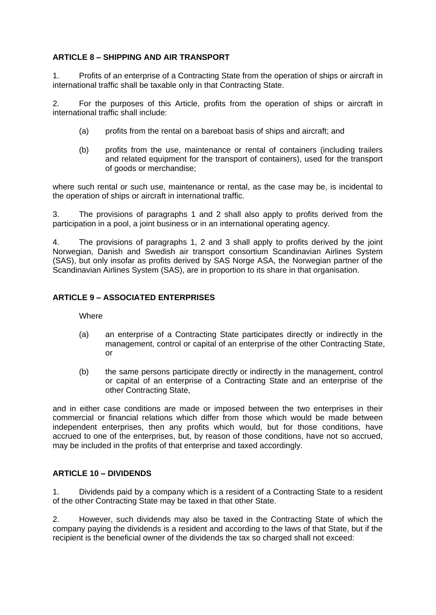## **ARTICLE 8 – SHIPPING AND AIR TRANSPORT**

1. Profits of an enterprise of a Contracting State from the operation of ships or aircraft in international traffic shall be taxable only in that Contracting State.

2. For the purposes of this Article, profits from the operation of ships or aircraft in international traffic shall include:

- (a) profits from the rental on a bareboat basis of ships and aircraft; and
- (b) profits from the use, maintenance or rental of containers (including trailers and related equipment for the transport of containers), used for the transport of goods or merchandise;

where such rental or such use, maintenance or rental, as the case may be, is incidental to the operation of ships or aircraft in international traffic.

3. The provisions of paragraphs 1 and 2 shall also apply to profits derived from the participation in a pool, a joint business or in an international operating agency.

4. The provisions of paragraphs 1, 2 and 3 shall apply to profits derived by the joint Norwegian, Danish and Swedish air transport consortium Scandinavian Airlines System (SAS), but only insofar as profits derived by SAS Norge ASA, the Norwegian partner of the Scandinavian Airlines System (SAS), are in proportion to its share in that organisation.

## **ARTICLE 9 – ASSOCIATED ENTERPRISES**

Where

- (a) an enterprise of a Contracting State participates directly or indirectly in the management, control or capital of an enterprise of the other Contracting State, or
- (b) the same persons participate directly or indirectly in the management, control or capital of an enterprise of a Contracting State and an enterprise of the other Contracting State,

and in either case conditions are made or imposed between the two enterprises in their commercial or financial relations which differ from those which would be made between independent enterprises, then any profits which would, but for those conditions, have accrued to one of the enterprises, but, by reason of those conditions, have not so accrued, may be included in the profits of that enterprise and taxed accordingly.

#### **ARTICLE 10 – DIVIDENDS**

1. Dividends paid by a company which is a resident of a Contracting State to a resident of the other Contracting State may be taxed in that other State.

2. However, such dividends may also be taxed in the Contracting State of which the company paying the dividends is a resident and according to the laws of that State, but if the recipient is the beneficial owner of the dividends the tax so charged shall not exceed: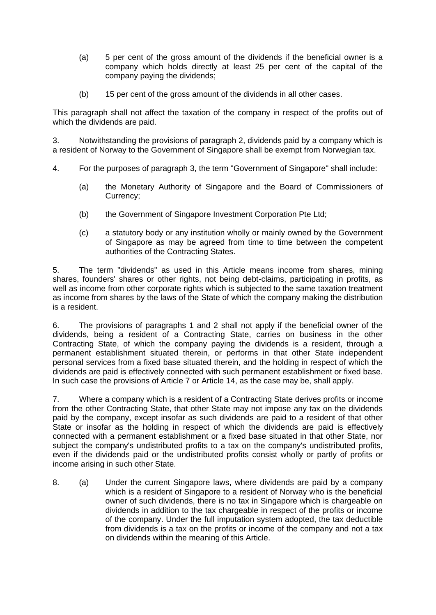- (a) 5 per cent of the gross amount of the dividends if the beneficial owner is a company which holds directly at least 25 per cent of the capital of the company paying the dividends;
- (b) 15 per cent of the gross amount of the dividends in all other cases.

This paragraph shall not affect the taxation of the company in respect of the profits out of which the dividends are paid.

3. Notwithstanding the provisions of paragraph 2, dividends paid by a company which is a resident of Norway to the Government of Singapore shall be exempt from Norwegian tax.

- 4. For the purposes of paragraph 3, the term "Government of Singapore" shall include:
	- (a) the Monetary Authority of Singapore and the Board of Commissioners of Currency;
	- (b) the Government of Singapore Investment Corporation Pte Ltd;
	- (c) a statutory body or any institution wholly or mainly owned by the Government of Singapore as may be agreed from time to time between the competent authorities of the Contracting States.

5. The term "dividends" as used in this Article means income from shares, mining shares, founders' shares or other rights, not being debt-claims, participating in profits, as well as income from other corporate rights which is subjected to the same taxation treatment as income from shares by the laws of the State of which the company making the distribution is a resident.

6. The provisions of paragraphs 1 and 2 shall not apply if the beneficial owner of the dividends, being a resident of a Contracting State, carries on business in the other Contracting State, of which the company paying the dividends is a resident, through a permanent establishment situated therein, or performs in that other State independent personal services from a fixed base situated therein, and the holding in respect of which the dividends are paid is effectively connected with such permanent establishment or fixed base. In such case the provisions of Article 7 or Article 14, as the case may be, shall apply.

7. Where a company which is a resident of a Contracting State derives profits or income from the other Contracting State, that other State may not impose any tax on the dividends paid by the company, except insofar as such dividends are paid to a resident of that other State or insofar as the holding in respect of which the dividends are paid is effectively connected with a permanent establishment or a fixed base situated in that other State, nor subject the company's undistributed profits to a tax on the company's undistributed profits, even if the dividends paid or the undistributed profits consist wholly or partly of profits or income arising in such other State.

8. (a) Under the current Singapore laws, where dividends are paid by a company which is a resident of Singapore to a resident of Norway who is the beneficial owner of such dividends, there is no tax in Singapore which is chargeable on dividends in addition to the tax chargeable in respect of the profits or income of the company. Under the full imputation system adopted, the tax deductible from dividends is a tax on the profits or income of the company and not a tax on dividends within the meaning of this Article.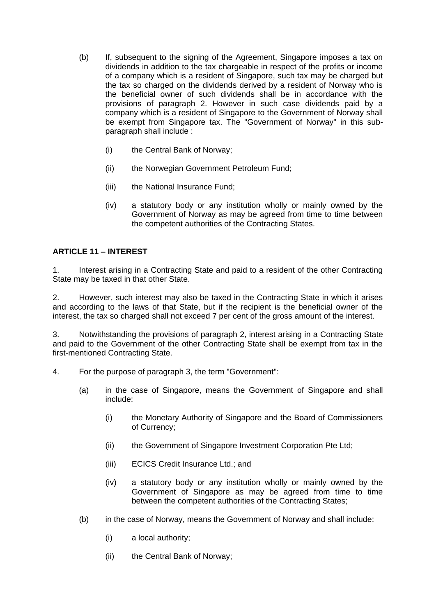- (b) If, subsequent to the signing of the Agreement, Singapore imposes a tax on dividends in addition to the tax chargeable in respect of the profits or income of a company which is a resident of Singapore, such tax may be charged but the tax so charged on the dividends derived by a resident of Norway who is the beneficial owner of such dividends shall be in accordance with the provisions of paragraph 2. However in such case dividends paid by a company which is a resident of Singapore to the Government of Norway shall be exempt from Singapore tax. The "Government of Norway" in this subparagraph shall include :
	- (i) the Central Bank of Norway;
	- (ii) the Norwegian Government Petroleum Fund;
	- (iii) the National Insurance Fund;
	- (iv) a statutory body or any institution wholly or mainly owned by the Government of Norway as may be agreed from time to time between the competent authorities of the Contracting States.

# **ARTICLE 11 – INTEREST**

1. Interest arising in a Contracting State and paid to a resident of the other Contracting State may be taxed in that other State.

2. However, such interest may also be taxed in the Contracting State in which it arises and according to the laws of that State, but if the recipient is the beneficial owner of the interest, the tax so charged shall not exceed 7 per cent of the gross amount of the interest.

3. Notwithstanding the provisions of paragraph 2, interest arising in a Contracting State and paid to the Government of the other Contracting State shall be exempt from tax in the first-mentioned Contracting State.

- 4. For the purpose of paragraph 3, the term "Government":
	- (a) in the case of Singapore, means the Government of Singapore and shall include:
		- (i) the Monetary Authority of Singapore and the Board of Commissioners of Currency;
		- (ii) the Government of Singapore Investment Corporation Pte Ltd;
		- (iii) ECICS Credit Insurance Ltd.; and
		- (iv) a statutory body or any institution wholly or mainly owned by the Government of Singapore as may be agreed from time to time between the competent authorities of the Contracting States;
	- (b) in the case of Norway, means the Government of Norway and shall include:
		- (i) a local authority;
		- (ii) the Central Bank of Norway;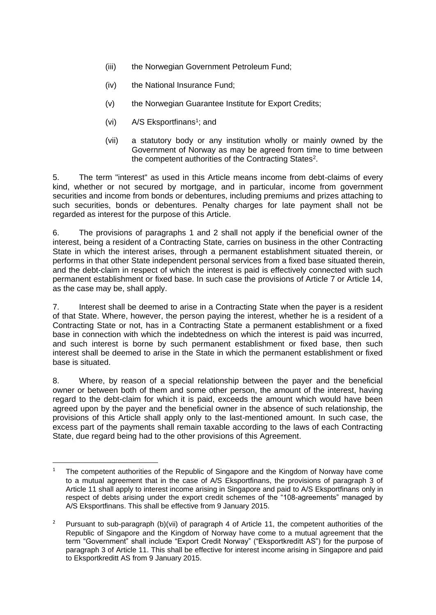- (iii) the Norwegian Government Petroleum Fund;
- (iv) the National Insurance Fund;
- (v) the Norwegian Guarantee Institute for Export Credits;
- (vi) A/S Eksportfinans<sup>1</sup>; and
- (vii) a statutory body or any institution wholly or mainly owned by the Government of Norway as may be agreed from time to time between the competent authorities of the Contracting States<sup>2</sup>.

5. The term "interest" as used in this Article means income from debt-claims of every kind, whether or not secured by mortgage, and in particular, income from government securities and income from bonds or debentures, including premiums and prizes attaching to such securities, bonds or debentures. Penalty charges for late payment shall not be regarded as interest for the purpose of this Article.

6. The provisions of paragraphs 1 and 2 shall not apply if the beneficial owner of the interest, being a resident of a Contracting State, carries on business in the other Contracting State in which the interest arises, through a permanent establishment situated therein, or performs in that other State independent personal services from a fixed base situated therein, and the debt-claim in respect of which the interest is paid is effectively connected with such permanent establishment or fixed base. In such case the provisions of Article 7 or Article 14, as the case may be, shall apply.

7. Interest shall be deemed to arise in a Contracting State when the payer is a resident of that State. Where, however, the person paying the interest, whether he is a resident of a Contracting State or not, has in a Contracting State a permanent establishment or a fixed base in connection with which the indebtedness on which the interest is paid was incurred, and such interest is borne by such permanent establishment or fixed base, then such interest shall be deemed to arise in the State in which the permanent establishment or fixed base is situated.

8. Where, by reason of a special relationship between the payer and the beneficial owner or between both of them and some other person, the amount of the interest, having regard to the debt-claim for which it is paid, exceeds the amount which would have been agreed upon by the payer and the beneficial owner in the absence of such relationship, the provisions of this Article shall apply only to the last-mentioned amount. In such case, the excess part of the payments shall remain taxable according to the laws of each Contracting State, due regard being had to the other provisions of this Agreement.

1

<sup>&</sup>lt;sup>1</sup> The competent authorities of the Republic of Singapore and the Kingdom of Norway have come to a mutual agreement that in the case of A/S Eksportfinans, the provisions of paragraph 3 of Article 11 shall apply to interest income arising in Singapore and paid to A/S Eksportfinans only in respect of debts arising under the export credit schemes of the "108-agreements" managed by A/S Eksportfinans. This shall be effective from 9 January 2015.

<sup>&</sup>lt;sup>2</sup> Pursuant to sub-paragraph (b)(vii) of paragraph 4 of Article 11, the competent authorities of the Republic of Singapore and the Kingdom of Norway have come to a mutual agreement that the term "Government" shall include "Export Credit Norway" ("Eksportkreditt AS") for the purpose of paragraph 3 of Article 11. This shall be effective for interest income arising in Singapore and paid to Eksportkreditt AS from 9 January 2015.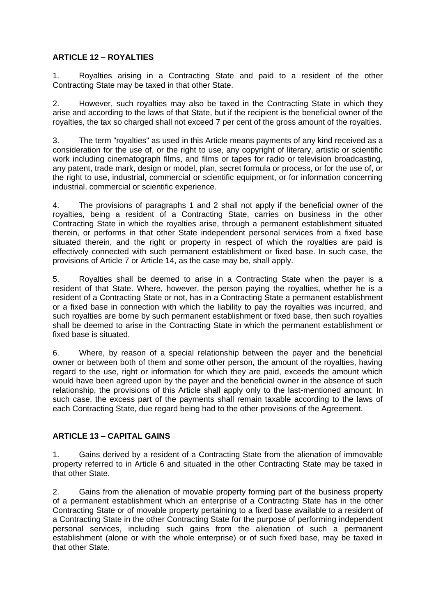## **ARTICLE 12 – ROYALTIES**

1. Royalties arising in a Contracting State and paid to a resident of the other Contracting State may be taxed in that other State.

2. However, such royalties may also be taxed in the Contracting State in which they arise and according to the laws of that State, but if the recipient is the beneficial owner of the royalties, the tax so charged shall not exceed 7 per cent of the gross amount of the royalties.

3. The term "royalties" as used in this Article means payments of any kind received as a consideration for the use of, or the right to use, any copyright of literary, artistic or scientific work including cinematograph films, and films or tapes for radio or television broadcasting, any patent, trade mark, design or model, plan, secret formula or process, or for the use of, or the right to use, industrial, commercial or scientific equipment, or for information concerning industrial, commercial or scientific experience.

4. The provisions of paragraphs 1 and 2 shall not apply if the beneficial owner of the royalties, being a resident of a Contracting State, carries on business in the other Contracting State in which the royalties arise, through a permanent establishment situated therein, or performs in that other State independent personal services from a fixed base situated therein, and the right or property in respect of which the royalties are paid is effectively connected with such permanent establishment or fixed base. In such case, the provisions of Article 7 or Article 14, as the case may be, shall apply.

5. Royalties shall be deemed to arise in a Contracting State when the payer is a resident of that State. Where, however, the person paying the royalties, whether he is a resident of a Contracting State or not, has in a Contracting State a permanent establishment or a fixed base in connection with which the liability to pay the royalties was incurred, and such royalties are borne by such permanent establishment or fixed base, then such royalties shall be deemed to arise in the Contracting State in which the permanent establishment or fixed base is situated.

6. Where, by reason of a special relationship between the payer and the beneficial owner or between both of them and some other person, the amount of the royalties, having regard to the use, right or information for which they are paid, exceeds the amount which would have been agreed upon by the payer and the beneficial owner in the absence of such relationship, the provisions of this Article shall apply only to the last-mentioned amount. In such case, the excess part of the payments shall remain taxable according to the laws of each Contracting State, due regard being had to the other provisions of the Agreement.

# **ARTICLE 13 – CAPITAL GAINS**

1. Gains derived by a resident of a Contracting State from the alienation of immovable property referred to in Article 6 and situated in the other Contracting State may be taxed in that other State.

2. Gains from the alienation of movable property forming part of the business property of a permanent establishment which an enterprise of a Contracting State has in the other Contracting State or of movable property pertaining to a fixed base available to a resident of a Contracting State in the other Contracting State for the purpose of performing independent personal services, including such gains from the alienation of such a permanent establishment (alone or with the whole enterprise) or of such fixed base, may be taxed in that other State.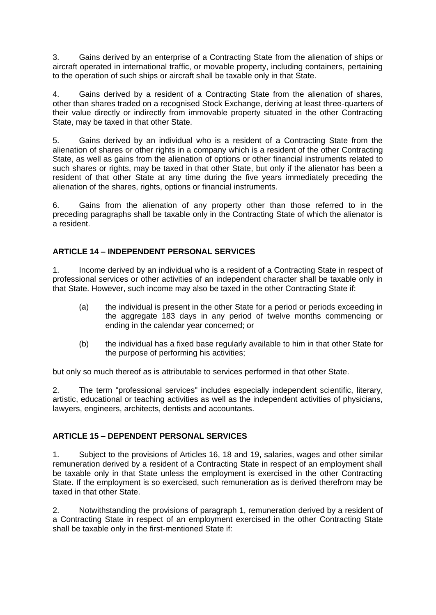3. Gains derived by an enterprise of a Contracting State from the alienation of ships or aircraft operated in international traffic, or movable property, including containers, pertaining to the operation of such ships or aircraft shall be taxable only in that State.

4. Gains derived by a resident of a Contracting State from the alienation of shares, other than shares traded on a recognised Stock Exchange, deriving at least three-quarters of their value directly or indirectly from immovable property situated in the other Contracting State, may be taxed in that other State.

5. Gains derived by an individual who is a resident of a Contracting State from the alienation of shares or other rights in a company which is a resident of the other Contracting State, as well as gains from the alienation of options or other financial instruments related to such shares or rights, may be taxed in that other State, but only if the alienator has been a resident of that other State at any time during the five years immediately preceding the alienation of the shares, rights, options or financial instruments.

6. Gains from the alienation of any property other than those referred to in the preceding paragraphs shall be taxable only in the Contracting State of which the alienator is a resident.

# **ARTICLE 14 – INDEPENDENT PERSONAL SERVICES**

1. Income derived by an individual who is a resident of a Contracting State in respect of professional services or other activities of an independent character shall be taxable only in that State. However, such income may also be taxed in the other Contracting State if:

- (a) the individual is present in the other State for a period or periods exceeding in the aggregate 183 days in any period of twelve months commencing or ending in the calendar year concerned; or
- (b) the individual has a fixed base regularly available to him in that other State for the purpose of performing his activities;

but only so much thereof as is attributable to services performed in that other State.

2. The term "professional services" includes especially independent scientific, literary, artistic, educational or teaching activities as well as the independent activities of physicians, lawyers, engineers, architects, dentists and accountants.

# **ARTICLE 15 – DEPENDENT PERSONAL SERVICES**

1. Subject to the provisions of Articles 16, 18 and 19, salaries, wages and other similar remuneration derived by a resident of a Contracting State in respect of an employment shall be taxable only in that State unless the employment is exercised in the other Contracting State. If the employment is so exercised, such remuneration as is derived therefrom may be taxed in that other State.

2. Notwithstanding the provisions of paragraph 1, remuneration derived by a resident of a Contracting State in respect of an employment exercised in the other Contracting State shall be taxable only in the first-mentioned State if: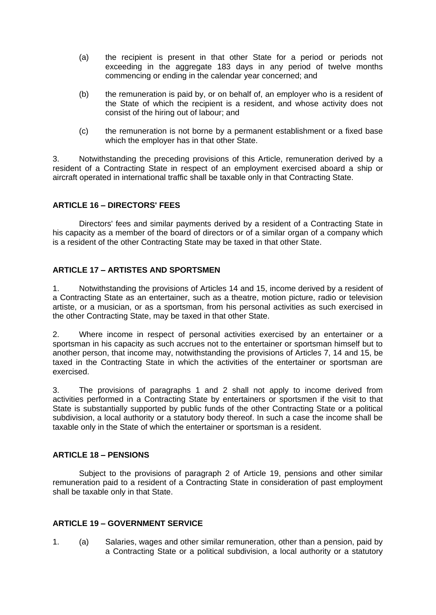- (a) the recipient is present in that other State for a period or periods not exceeding in the aggregate 183 days in any period of twelve months commencing or ending in the calendar year concerned; and
- (b) the remuneration is paid by, or on behalf of, an employer who is a resident of the State of which the recipient is a resident, and whose activity does not consist of the hiring out of labour; and
- (c) the remuneration is not borne by a permanent establishment or a fixed base which the employer has in that other State.

3. Notwithstanding the preceding provisions of this Article, remuneration derived by a resident of a Contracting State in respect of an employment exercised aboard a ship or aircraft operated in international traffic shall be taxable only in that Contracting State.

## **ARTICLE 16 – DIRECTORS' FEES**

Directors' fees and similar payments derived by a resident of a Contracting State in his capacity as a member of the board of directors or of a similar organ of a company which is a resident of the other Contracting State may be taxed in that other State.

# **ARTICLE 17 – ARTISTES AND SPORTSMEN**

1. Notwithstanding the provisions of Articles 14 and 15, income derived by a resident of a Contracting State as an entertainer, such as a theatre, motion picture, radio or television artiste, or a musician, or as a sportsman, from his personal activities as such exercised in the other Contracting State, may be taxed in that other State.

2. Where income in respect of personal activities exercised by an entertainer or a sportsman in his capacity as such accrues not to the entertainer or sportsman himself but to another person, that income may, notwithstanding the provisions of Articles 7, 14 and 15, be taxed in the Contracting State in which the activities of the entertainer or sportsman are exercised.

3. The provisions of paragraphs 1 and 2 shall not apply to income derived from activities performed in a Contracting State by entertainers or sportsmen if the visit to that State is substantially supported by public funds of the other Contracting State or a political subdivision, a local authority or a statutory body thereof. In such a case the income shall be taxable only in the State of which the entertainer or sportsman is a resident.

# **ARTICLE 18 – PENSIONS**

Subject to the provisions of paragraph 2 of Article 19, pensions and other similar remuneration paid to a resident of a Contracting State in consideration of past employment shall be taxable only in that State.

#### **ARTICLE 19 – GOVERNMENT SERVICE**

1. (a) Salaries, wages and other similar remuneration, other than a pension, paid by a Contracting State or a political subdivision, a local authority or a statutory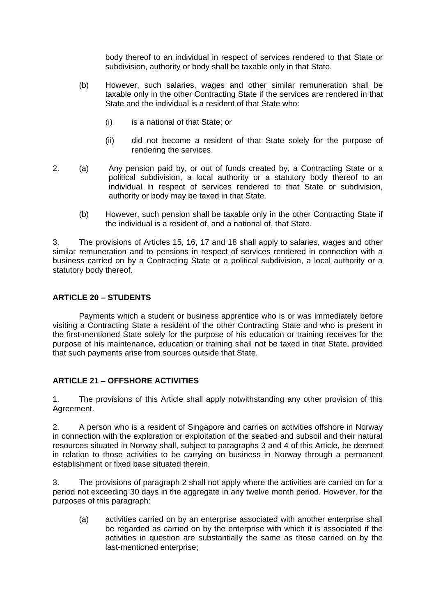body thereof to an individual in respect of services rendered to that State or subdivision, authority or body shall be taxable only in that State.

- (b) However, such salaries, wages and other similar remuneration shall be taxable only in the other Contracting State if the services are rendered in that State and the individual is a resident of that State who:
	- (i) is a national of that State; or
	- (ii) did not become a resident of that State solely for the purpose of rendering the services.
- 2. (a) Any pension paid by, or out of funds created by, a Contracting State or a political subdivision, a local authority or a statutory body thereof to an individual in respect of services rendered to that State or subdivision, authority or body may be taxed in that State.
	- (b) However, such pension shall be taxable only in the other Contracting State if the individual is a resident of, and a national of, that State.

3. The provisions of Articles 15, 16, 17 and 18 shall apply to salaries, wages and other similar remuneration and to pensions in respect of services rendered in connection with a business carried on by a Contracting State or a political subdivision, a local authority or a statutory body thereof.

#### **ARTICLE 20 – STUDENTS**

Payments which a student or business apprentice who is or was immediately before visiting a Contracting State a resident of the other Contracting State and who is present in the first-mentioned State solely for the purpose of his education or training receives for the purpose of his maintenance, education or training shall not be taxed in that State, provided that such payments arise from sources outside that State.

# **ARTICLE 21 – OFFSHORE ACTIVITIES**

1. The provisions of this Article shall apply notwithstanding any other provision of this Agreement.

2. A person who is a resident of Singapore and carries on activities offshore in Norway in connection with the exploration or exploitation of the seabed and subsoil and their natural resources situated in Norway shall, subject to paragraphs 3 and 4 of this Article, be deemed in relation to those activities to be carrying on business in Norway through a permanent establishment or fixed base situated therein.

3. The provisions of paragraph 2 shall not apply where the activities are carried on for a period not exceeding 30 days in the aggregate in any twelve month period. However, for the purposes of this paragraph:

(a) activities carried on by an enterprise associated with another enterprise shall be regarded as carried on by the enterprise with which it is associated if the activities in question are substantially the same as those carried on by the last-mentioned enterprise;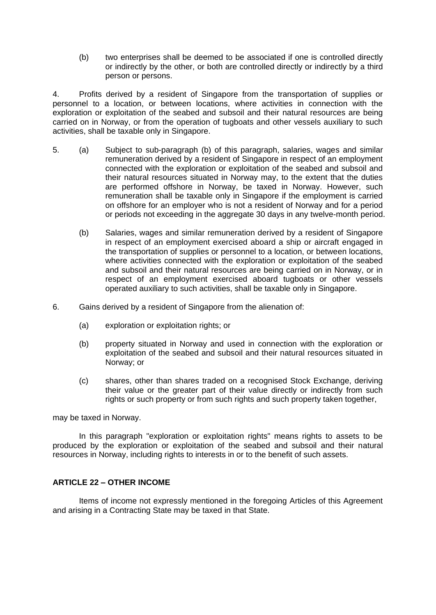(b) two enterprises shall be deemed to be associated if one is controlled directly or indirectly by the other, or both are controlled directly or indirectly by a third person or persons.

4. Profits derived by a resident of Singapore from the transportation of supplies or personnel to a location, or between locations, where activities in connection with the exploration or exploitation of the seabed and subsoil and their natural resources are being carried on in Norway, or from the operation of tugboats and other vessels auxiliary to such activities, shall be taxable only in Singapore.

- 5. (a) Subject to sub-paragraph (b) of this paragraph, salaries, wages and similar remuneration derived by a resident of Singapore in respect of an employment connected with the exploration or exploitation of the seabed and subsoil and their natural resources situated in Norway may, to the extent that the duties are performed offshore in Norway, be taxed in Norway. However, such remuneration shall be taxable only in Singapore if the employment is carried on offshore for an employer who is not a resident of Norway and for a period or periods not exceeding in the aggregate 30 days in any twelve-month period.
	- (b) Salaries, wages and similar remuneration derived by a resident of Singapore in respect of an employment exercised aboard a ship or aircraft engaged in the transportation of supplies or personnel to a location, or between locations, where activities connected with the exploration or exploitation of the seabed and subsoil and their natural resources are being carried on in Norway, or in respect of an employment exercised aboard tugboats or other vessels operated auxiliary to such activities, shall be taxable only in Singapore.
- 6. Gains derived by a resident of Singapore from the alienation of:
	- (a) exploration or exploitation rights; or
	- (b) property situated in Norway and used in connection with the exploration or exploitation of the seabed and subsoil and their natural resources situated in Norway; or
	- (c) shares, other than shares traded on a recognised Stock Exchange, deriving their value or the greater part of their value directly or indirectly from such rights or such property or from such rights and such property taken together,

may be taxed in Norway.

In this paragraph "exploration or exploitation rights" means rights to assets to be produced by the exploration or exploitation of the seabed and subsoil and their natural resources in Norway, including rights to interests in or to the benefit of such assets.

#### **ARTICLE 22 – OTHER INCOME**

Items of income not expressly mentioned in the foregoing Articles of this Agreement and arising in a Contracting State may be taxed in that State.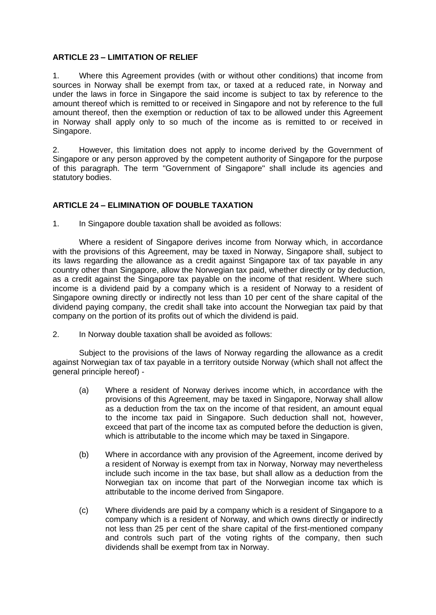#### **ARTICLE 23 – LIMITATION OF RELIEF**

1. Where this Agreement provides (with or without other conditions) that income from sources in Norway shall be exempt from tax, or taxed at a reduced rate, in Norway and under the laws in force in Singapore the said income is subject to tax by reference to the amount thereof which is remitted to or received in Singapore and not by reference to the full amount thereof, then the exemption or reduction of tax to be allowed under this Agreement in Norway shall apply only to so much of the income as is remitted to or received in Singapore.

2. However, this limitation does not apply to income derived by the Government of Singapore or any person approved by the competent authority of Singapore for the purpose of this paragraph. The term "Government of Singapore" shall include its agencies and statutory bodies.

## **ARTICLE 24 – ELIMINATION OF DOUBLE TAXATION**

1. In Singapore double taxation shall be avoided as follows:

Where a resident of Singapore derives income from Norway which, in accordance with the provisions of this Agreement, may be taxed in Norway, Singapore shall, subject to its laws regarding the allowance as a credit against Singapore tax of tax payable in any country other than Singapore, allow the Norwegian tax paid, whether directly or by deduction, as a credit against the Singapore tax payable on the income of that resident. Where such income is a dividend paid by a company which is a resident of Norway to a resident of Singapore owning directly or indirectly not less than 10 per cent of the share capital of the dividend paying company, the credit shall take into account the Norwegian tax paid by that company on the portion of its profits out of which the dividend is paid.

2. In Norway double taxation shall be avoided as follows:

Subject to the provisions of the laws of Norway regarding the allowance as a credit against Norwegian tax of tax payable in a territory outside Norway (which shall not affect the general principle hereof) -

- (a) Where a resident of Norway derives income which, in accordance with the provisions of this Agreement, may be taxed in Singapore, Norway shall allow as a deduction from the tax on the income of that resident, an amount equal to the income tax paid in Singapore. Such deduction shall not, however, exceed that part of the income tax as computed before the deduction is given, which is attributable to the income which may be taxed in Singapore.
- (b) Where in accordance with any provision of the Agreement, income derived by a resident of Norway is exempt from tax in Norway, Norway may nevertheless include such income in the tax base, but shall allow as a deduction from the Norwegian tax on income that part of the Norwegian income tax which is attributable to the income derived from Singapore.
- (c) Where dividends are paid by a company which is a resident of Singapore to a company which is a resident of Norway, and which owns directly or indirectly not less than 25 per cent of the share capital of the first-mentioned company and controls such part of the voting rights of the company, then such dividends shall be exempt from tax in Norway.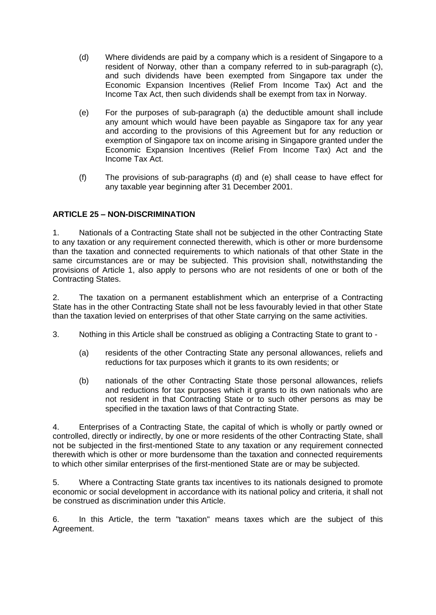- (d) Where dividends are paid by a company which is a resident of Singapore to a resident of Norway, other than a company referred to in sub-paragraph (c), and such dividends have been exempted from Singapore tax under the Economic Expansion Incentives (Relief From Income Tax) Act and the Income Tax Act, then such dividends shall be exempt from tax in Norway.
- (e) For the purposes of sub-paragraph (a) the deductible amount shall include any amount which would have been payable as Singapore tax for any year and according to the provisions of this Agreement but for any reduction or exemption of Singapore tax on income arising in Singapore granted under the Economic Expansion Incentives (Relief From Income Tax) Act and the Income Tax Act.
- (f) The provisions of sub-paragraphs (d) and (e) shall cease to have effect for any taxable year beginning after 31 December 2001.

# **ARTICLE 25 – NON-DISCRIMINATION**

1. Nationals of a Contracting State shall not be subjected in the other Contracting State to any taxation or any requirement connected therewith, which is other or more burdensome than the taxation and connected requirements to which nationals of that other State in the same circumstances are or may be subjected. This provision shall, notwithstanding the provisions of Article 1, also apply to persons who are not residents of one or both of the Contracting States.

2. The taxation on a permanent establishment which an enterprise of a Contracting State has in the other Contracting State shall not be less favourably levied in that other State than the taxation levied on enterprises of that other State carrying on the same activities.

- 3. Nothing in this Article shall be construed as obliging a Contracting State to grant to
	- (a) residents of the other Contracting State any personal allowances, reliefs and reductions for tax purposes which it grants to its own residents; or
	- (b) nationals of the other Contracting State those personal allowances, reliefs and reductions for tax purposes which it grants to its own nationals who are not resident in that Contracting State or to such other persons as may be specified in the taxation laws of that Contracting State.

4. Enterprises of a Contracting State, the capital of which is wholly or partly owned or controlled, directly or indirectly, by one or more residents of the other Contracting State, shall not be subjected in the first-mentioned State to any taxation or any requirement connected therewith which is other or more burdensome than the taxation and connected requirements to which other similar enterprises of the first-mentioned State are or may be subjected.

5. Where a Contracting State grants tax incentives to its nationals designed to promote economic or social development in accordance with its national policy and criteria, it shall not be construed as discrimination under this Article.

6. In this Article, the term "taxation" means taxes which are the subject of this Agreement.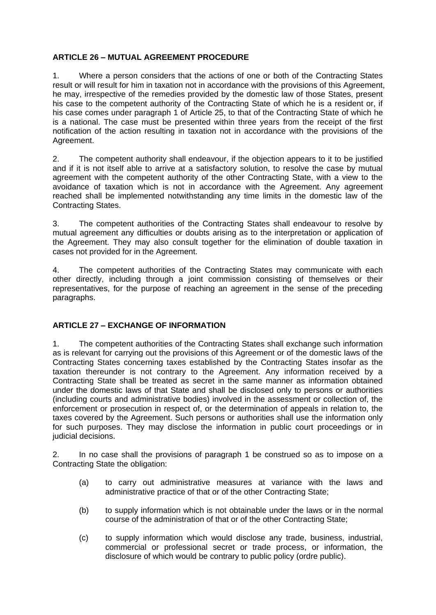## **ARTICLE 26 – MUTUAL AGREEMENT PROCEDURE**

1. Where a person considers that the actions of one or both of the Contracting States result or will result for him in taxation not in accordance with the provisions of this Agreement, he may, irrespective of the remedies provided by the domestic law of those States, present his case to the competent authority of the Contracting State of which he is a resident or, if his case comes under paragraph 1 of Article 25, to that of the Contracting State of which he is a national. The case must be presented within three years from the receipt of the first notification of the action resulting in taxation not in accordance with the provisions of the Agreement.

2. The competent authority shall endeavour, if the objection appears to it to be justified and if it is not itself able to arrive at a satisfactory solution, to resolve the case by mutual agreement with the competent authority of the other Contracting State, with a view to the avoidance of taxation which is not in accordance with the Agreement. Any agreement reached shall be implemented notwithstanding any time limits in the domestic law of the Contracting States.

3. The competent authorities of the Contracting States shall endeavour to resolve by mutual agreement any difficulties or doubts arising as to the interpretation or application of the Agreement. They may also consult together for the elimination of double taxation in cases not provided for in the Agreement.

4. The competent authorities of the Contracting States may communicate with each other directly, including through a joint commission consisting of themselves or their representatives, for the purpose of reaching an agreement in the sense of the preceding paragraphs.

# **ARTICLE 27 – EXCHANGE OF INFORMATION**

1. The competent authorities of the Contracting States shall exchange such information as is relevant for carrying out the provisions of this Agreement or of the domestic laws of the Contracting States concerning taxes established by the Contracting States insofar as the taxation thereunder is not contrary to the Agreement. Any information received by a Contracting State shall be treated as secret in the same manner as information obtained under the domestic laws of that State and shall be disclosed only to persons or authorities (including courts and administrative bodies) involved in the assessment or collection of, the enforcement or prosecution in respect of, or the determination of appeals in relation to, the taxes covered by the Agreement. Such persons or authorities shall use the information only for such purposes. They may disclose the information in public court proceedings or in judicial decisions.

2. In no case shall the provisions of paragraph 1 be construed so as to impose on a Contracting State the obligation:

- (a) to carry out administrative measures at variance with the laws and administrative practice of that or of the other Contracting State;
- (b) to supply information which is not obtainable under the laws or in the normal course of the administration of that or of the other Contracting State;
- (c) to supply information which would disclose any trade, business, industrial, commercial or professional secret or trade process, or information, the disclosure of which would be contrary to public policy (ordre public).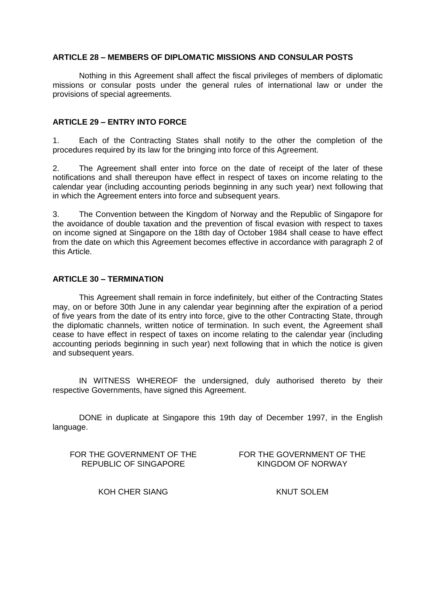#### **ARTICLE 28 – MEMBERS OF DIPLOMATIC MISSIONS AND CONSULAR POSTS**

Nothing in this Agreement shall affect the fiscal privileges of members of diplomatic missions or consular posts under the general rules of international law or under the provisions of special agreements.

#### **ARTICLE 29 – ENTRY INTO FORCE**

1. Each of the Contracting States shall notify to the other the completion of the procedures required by its law for the bringing into force of this Agreement.

2. The Agreement shall enter into force on the date of receipt of the later of these notifications and shall thereupon have effect in respect of taxes on income relating to the calendar year (including accounting periods beginning in any such year) next following that in which the Agreement enters into force and subsequent years.

3. The Convention between the Kingdom of Norway and the Republic of Singapore for the avoidance of double taxation and the prevention of fiscal evasion with respect to taxes on income signed at Singapore on the 18th day of October 1984 shall cease to have effect from the date on which this Agreement becomes effective in accordance with paragraph 2 of this Article.

#### **ARTICLE 30 – TERMINATION**

This Agreement shall remain in force indefinitely, but either of the Contracting States may, on or before 30th June in any calendar year beginning after the expiration of a period of five years from the date of its entry into force, give to the other Contracting State, through the diplomatic channels, written notice of termination. In such event, the Agreement shall cease to have effect in respect of taxes on income relating to the calendar year (including accounting periods beginning in such year) next following that in which the notice is given and subsequent years.

IN WITNESS WHEREOF the undersigned, duly authorised thereto by their respective Governments, have signed this Agreement.

DONE in duplicate at Singapore this 19th day of December 1997, in the English language.

FOR THE GOVERNMENT OF THE REPUBLIC OF SINGAPORE

FOR THE GOVERNMENT OF THE KINGDOM OF NORWAY

KOH CHER SIANG KOH KNUT SOLEM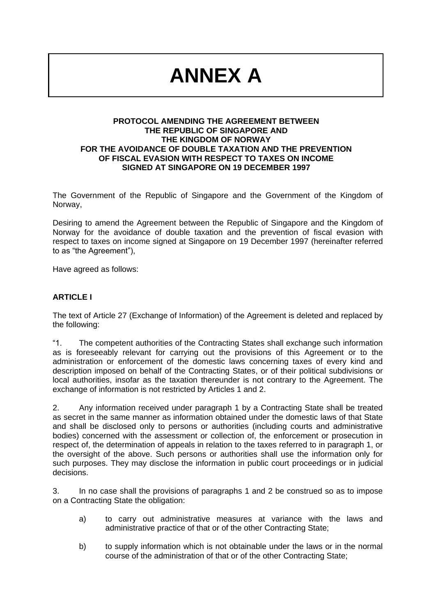# **ANNEX A**

#### **PROTOCOL AMENDING THE AGREEMENT BETWEEN THE REPUBLIC OF SINGAPORE AND THE KINGDOM OF NORWAY FOR THE AVOIDANCE OF DOUBLE TAXATION AND THE PREVENTION OF FISCAL EVASION WITH RESPECT TO TAXES ON INCOME SIGNED AT SINGAPORE ON 19 DECEMBER 1997**

The Government of the Republic of Singapore and the Government of the Kingdom of Norway,

Desiring to amend the Agreement between the Republic of Singapore and the Kingdom of Norway for the avoidance of double taxation and the prevention of fiscal evasion with respect to taxes on income signed at Singapore on 19 December 1997 (hereinafter referred to as "the Agreement"),

Have agreed as follows:

## **ARTICLE I**

The text of Article 27 (Exchange of Information) of the Agreement is deleted and replaced by the following:

"1. The competent authorities of the Contracting States shall exchange such information as is foreseeably relevant for carrying out the provisions of this Agreement or to the administration or enforcement of the domestic laws concerning taxes of every kind and description imposed on behalf of the Contracting States, or of their political subdivisions or local authorities, insofar as the taxation thereunder is not contrary to the Agreement. The exchange of information is not restricted by Articles 1 and 2.

2. Any information received under paragraph 1 by a Contracting State shall be treated as secret in the same manner as information obtained under the domestic laws of that State and shall be disclosed only to persons or authorities (including courts and administrative bodies) concerned with the assessment or collection of, the enforcement or prosecution in respect of, the determination of appeals in relation to the taxes referred to in paragraph 1, or the oversight of the above. Such persons or authorities shall use the information only for such purposes. They may disclose the information in public court proceedings or in judicial decisions.

3. In no case shall the provisions of paragraphs 1 and 2 be construed so as to impose on a Contracting State the obligation:

- a) to carry out administrative measures at variance with the laws and administrative practice of that or of the other Contracting State;
- b) to supply information which is not obtainable under the laws or in the normal course of the administration of that or of the other Contracting State;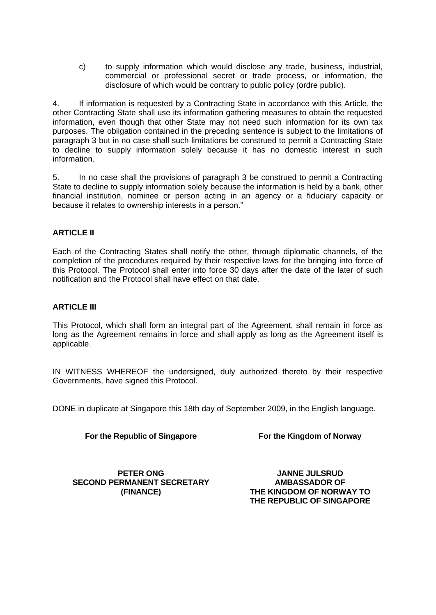c) to supply information which would disclose any trade, business, industrial, commercial or professional secret or trade process, or information, the disclosure of which would be contrary to public policy (ordre public).

4. If information is requested by a Contracting State in accordance with this Article, the other Contracting State shall use its information gathering measures to obtain the requested information, even though that other State may not need such information for its own tax purposes. The obligation contained in the preceding sentence is subject to the limitations of paragraph 3 but in no case shall such limitations be construed to permit a Contracting State to decline to supply information solely because it has no domestic interest in such information.

5. In no case shall the provisions of paragraph 3 be construed to permit a Contracting State to decline to supply information solely because the information is held by a bank, other financial institution, nominee or person acting in an agency or a fiduciary capacity or because it relates to ownership interests in a person."

## **ARTICLE II**

Each of the Contracting States shall notify the other, through diplomatic channels, of the completion of the procedures required by their respective laws for the bringing into force of this Protocol. The Protocol shall enter into force 30 days after the date of the later of such notification and the Protocol shall have effect on that date.

#### **ARTICLE III**

This Protocol, which shall form an integral part of the Agreement, shall remain in force as long as the Agreement remains in force and shall apply as long as the Agreement itself is applicable.

IN WITNESS WHEREOF the undersigned, duly authorized thereto by their respective Governments, have signed this Protocol.

DONE in duplicate at Singapore this 18th day of September 2009, in the English language.

**For the Republic of Singapore**

**For the Kingdom of Norway**

**PETER ONG SECOND PERMANENT SECRETARY (FINANCE)**

**JANNE JULSRUD AMBASSADOR OF THE KINGDOM OF NORWAY TO THE REPUBLIC OF SINGAPORE**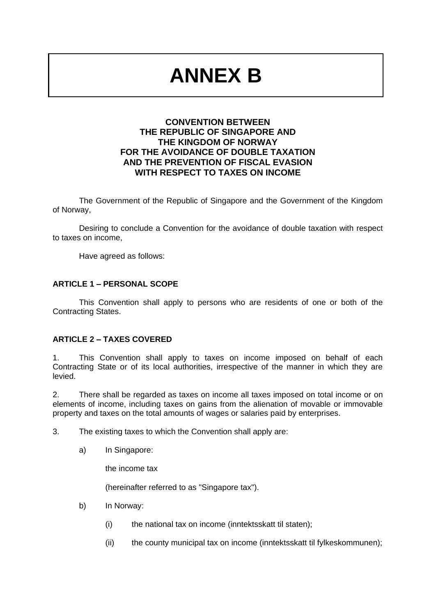# **ANNEX B**

## **CONVENTION BETWEEN THE REPUBLIC OF SINGAPORE AND THE KINGDOM OF NORWAY FOR THE AVOIDANCE OF DOUBLE TAXATION AND THE PREVENTION OF FISCAL EVASION WITH RESPECT TO TAXES ON INCOME**

The Government of the Republic of Singapore and the Government of the Kingdom of Norway,

Desiring to conclude a Convention for the avoidance of double taxation with respect to taxes on income,

Have agreed as follows:

## **ARTICLE 1 – PERSONAL SCOPE**

This Convention shall apply to persons who are residents of one or both of the Contracting States.

#### **ARTICLE 2 – TAXES COVERED**

1. This Convention shall apply to taxes on income imposed on behalf of each Contracting State or of its local authorities, irrespective of the manner in which they are levied.

2. There shall be regarded as taxes on income all taxes imposed on total income or on elements of income, including taxes on gains from the alienation of movable or immovable property and taxes on the total amounts of wages or salaries paid by enterprises.

3. The existing taxes to which the Convention shall apply are:

a) In Singapore:

the income tax

(hereinafter referred to as "Singapore tax").

- b) In Norway:
	- (i) the national tax on income (inntektsskatt til staten);
	- (ii) the county municipal tax on income (inntektsskatt til fylkeskommunen);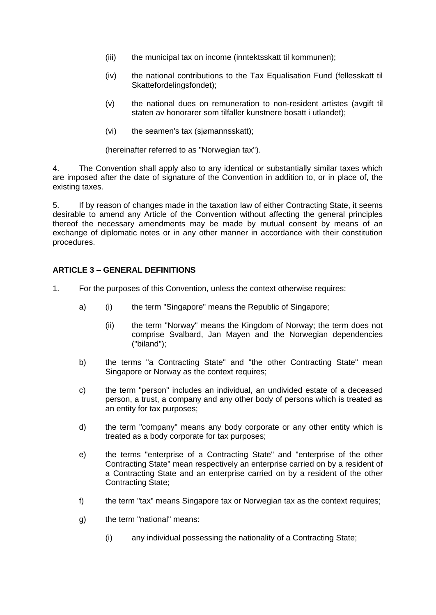- (iii) the municipal tax on income (inntektsskatt til kommunen);
- (iv) the national contributions to the Tax Equalisation Fund (fellesskatt til Skattefordelingsfondet);
- (v) the national dues on remuneration to non-resident artistes (avgift til staten av honorarer som tilfaller kunstnere bosatt i utlandet);
- (vi) the seamen's tax (sjØmannsskatt);

(hereinafter referred to as "Norwegian tax").

4. The Convention shall apply also to any identical or substantially similar taxes which are imposed after the date of signature of the Convention in addition to, or in place of, the existing taxes.

5. If by reason of changes made in the taxation law of either Contracting State, it seems desirable to amend any Article of the Convention without affecting the general principles thereof the necessary amendments may be made by mutual consent by means of an exchange of diplomatic notes or in any other manner in accordance with their constitution procedures.

## **ARTICLE 3 – GENERAL DEFINITIONS**

- 1. For the purposes of this Convention, unless the context otherwise requires:
	- a) (i) the term "Singapore" means the Republic of Singapore;
		- (ii) the term "Norway" means the Kingdom of Norway; the term does not comprise Svalbard, Jan Mayen and the Norwegian dependencies ("biland");
	- b) the terms "a Contracting State" and "the other Contracting State" mean Singapore or Norway as the context requires;
	- c) the term "person" includes an individual, an undivided estate of a deceased person, a trust, a company and any other body of persons which is treated as an entity for tax purposes;
	- d) the term "company" means any body corporate or any other entity which is treated as a body corporate for tax purposes;
	- e) the terms "enterprise of a Contracting State" and "enterprise of the other Contracting State" mean respectively an enterprise carried on by a resident of a Contracting State and an enterprise carried on by a resident of the other Contracting State;
	- f) the term "tax" means Singapore tax or Norwegian tax as the context requires;
	- g) the term "national" means:
		- (i) any individual possessing the nationality of a Contracting State;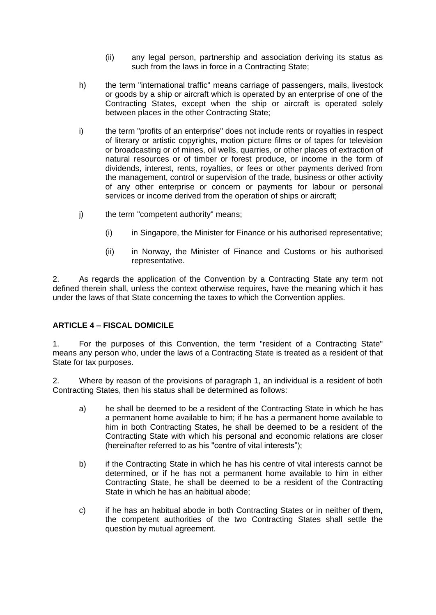- (ii) any legal person, partnership and association deriving its status as such from the laws in force in a Contracting State;
- h) the term "international traffic" means carriage of passengers, mails, livestock or goods by a ship or aircraft which is operated by an enterprise of one of the Contracting States, except when the ship or aircraft is operated solely between places in the other Contracting State;
- i) the term "profits of an enterprise" does not include rents or royalties in respect of literary or artistic copyrights, motion picture films or of tapes for television or broadcasting or of mines, oil wells, quarries, or other places of extraction of natural resources or of timber or forest produce, or income in the form of dividends, interest, rents, royalties, or fees or other payments derived from the management, control or supervision of the trade, business or other activity of any other enterprise or concern or payments for labour or personal services or income derived from the operation of ships or aircraft;
- j) the term "competent authority" means;
	- (i) in Singapore, the Minister for Finance or his authorised representative;
	- (ii) in Norway, the Minister of Finance and Customs or his authorised representative.

2. As regards the application of the Convention by a Contracting State any term not defined therein shall, unless the context otherwise requires, have the meaning which it has under the laws of that State concerning the taxes to which the Convention applies.

#### **ARTICLE 4 – FISCAL DOMICILE**

1. For the purposes of this Convention, the term "resident of a Contracting State" means any person who, under the laws of a Contracting State is treated as a resident of that State for tax purposes.

2. Where by reason of the provisions of paragraph 1, an individual is a resident of both Contracting States, then his status shall be determined as follows:

- a) he shall be deemed to be a resident of the Contracting State in which he has a permanent home available to him; if he has a permanent home available to him in both Contracting States, he shall be deemed to be a resident of the Contracting State with which his personal and economic relations are closer (hereinafter referred to as his "centre of vital interests");
- b) if the Contracting State in which he has his centre of vital interests cannot be determined, or if he has not a permanent home available to him in either Contracting State, he shall be deemed to be a resident of the Contracting State in which he has an habitual abode;
- c) if he has an habitual abode in both Contracting States or in neither of them, the competent authorities of the two Contracting States shall settle the question by mutual agreement.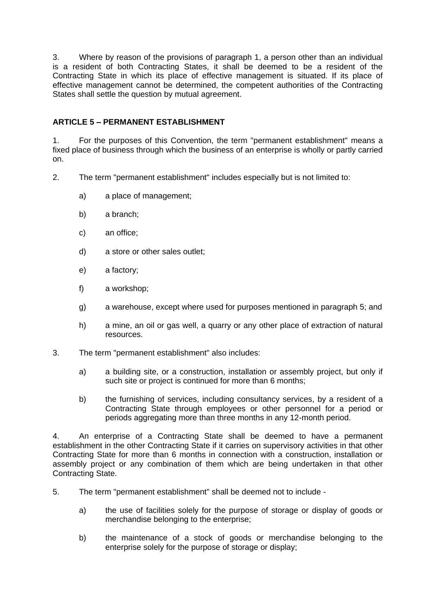3. Where by reason of the provisions of paragraph 1, a person other than an individual is a resident of both Contracting States, it shall be deemed to be a resident of the Contracting State in which its place of effective management is situated. If its place of effective management cannot be determined, the competent authorities of the Contracting States shall settle the question by mutual agreement.

## **ARTICLE 5 – PERMANENT ESTABLISHMENT**

1. For the purposes of this Convention, the term "permanent establishment" means a fixed place of business through which the business of an enterprise is wholly or partly carried on.

- 2. The term "permanent establishment" includes especially but is not limited to:
	- a) a place of management;
	- b) a branch;
	- c) an office;
	- d) a store or other sales outlet;
	- e) a factory;
	- f) a workshop;
	- g) a warehouse, except where used for purposes mentioned in paragraph 5; and
	- h) a mine, an oil or gas well, a quarry or any other place of extraction of natural resources.
- 3. The term "permanent establishment" also includes:
	- a) a building site, or a construction, installation or assembly project, but only if such site or project is continued for more than 6 months;
	- b) the furnishing of services, including consultancy services, by a resident of a Contracting State through employees or other personnel for a period or periods aggregating more than three months in any 12-month period.

4. An enterprise of a Contracting State shall be deemed to have a permanent establishment in the other Contracting State if it carries on supervisory activities in that other Contracting State for more than 6 months in connection with a construction, installation or assembly project or any combination of them which are being undertaken in that other Contracting State.

- 5. The term "permanent establishment" shall be deemed not to include
	- a) the use of facilities solely for the purpose of storage or display of goods or merchandise belonging to the enterprise;
	- b) the maintenance of a stock of goods or merchandise belonging to the enterprise solely for the purpose of storage or display;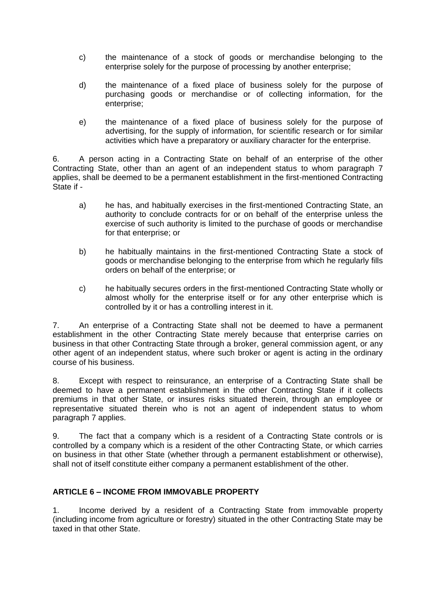- c) the maintenance of a stock of goods or merchandise belonging to the enterprise solely for the purpose of processing by another enterprise;
- d) the maintenance of a fixed place of business solely for the purpose of purchasing goods or merchandise or of collecting information, for the enterprise;
- e) the maintenance of a fixed place of business solely for the purpose of advertising, for the supply of information, for scientific research or for similar activities which have a preparatory or auxiliary character for the enterprise.

6. A person acting in a Contracting State on behalf of an enterprise of the other Contracting State, other than an agent of an independent status to whom paragraph 7 applies, shall be deemed to be a permanent establishment in the first-mentioned Contracting State if -

- a) he has, and habitually exercises in the first-mentioned Contracting State, an authority to conclude contracts for or on behalf of the enterprise unless the exercise of such authority is limited to the purchase of goods or merchandise for that enterprise; or
- b) he habitually maintains in the first-mentioned Contracting State a stock of goods or merchandise belonging to the enterprise from which he regularly fills orders on behalf of the enterprise; or
- c) he habitually secures orders in the first-mentioned Contracting State wholly or almost wholly for the enterprise itself or for any other enterprise which is controlled by it or has a controlling interest in it.

7. An enterprise of a Contracting State shall not be deemed to have a permanent establishment in the other Contracting State merely because that enterprise carries on business in that other Contracting State through a broker, general commission agent, or any other agent of an independent status, where such broker or agent is acting in the ordinary course of his business.

8. Except with respect to reinsurance, an enterprise of a Contracting State shall be deemed to have a permanent establishment in the other Contracting State if it collects premiums in that other State, or insures risks situated therein, through an employee or representative situated therein who is not an agent of independent status to whom paragraph 7 applies.

9. The fact that a company which is a resident of a Contracting State controls or is controlled by a company which is a resident of the other Contracting State, or which carries on business in that other State (whether through a permanent establishment or otherwise), shall not of itself constitute either company a permanent establishment of the other.

#### **ARTICLE 6 – INCOME FROM IMMOVABLE PROPERTY**

1. Income derived by a resident of a Contracting State from immovable property (including income from agriculture or forestry) situated in the other Contracting State may be taxed in that other State.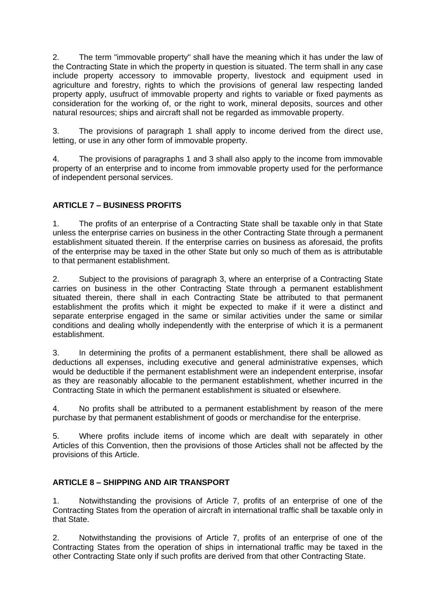2. The term "immovable property" shall have the meaning which it has under the law of the Contracting State in which the property in question is situated. The term shall in any case include property accessory to immovable property, livestock and equipment used in agriculture and forestry, rights to which the provisions of general law respecting landed property apply, usufruct of immovable property and rights to variable or fixed payments as consideration for the working of, or the right to work, mineral deposits, sources and other natural resources; ships and aircraft shall not be regarded as immovable property.

3. The provisions of paragraph 1 shall apply to income derived from the direct use, letting, or use in any other form of immovable property.

4. The provisions of paragraphs 1 and 3 shall also apply to the income from immovable property of an enterprise and to income from immovable property used for the performance of independent personal services.

# **ARTICLE 7 – BUSINESS PROFITS**

1. The profits of an enterprise of a Contracting State shall be taxable only in that State unless the enterprise carries on business in the other Contracting State through a permanent establishment situated therein. If the enterprise carries on business as aforesaid, the profits of the enterprise may be taxed in the other State but only so much of them as is attributable to that permanent establishment.

2. Subject to the provisions of paragraph 3, where an enterprise of a Contracting State carries on business in the other Contracting State through a permanent establishment situated therein, there shall in each Contracting State be attributed to that permanent establishment the profits which it might be expected to make if it were a distinct and separate enterprise engaged in the same or similar activities under the same or similar conditions and dealing wholly independently with the enterprise of which it is a permanent establishment.

3. In determining the profits of a permanent establishment, there shall be allowed as deductions all expenses, including executive and general administrative expenses, which would be deductible if the permanent establishment were an independent enterprise, insofar as they are reasonably allocable to the permanent establishment, whether incurred in the Contracting State in which the permanent establishment is situated or elsewhere.

4. No profits shall be attributed to a permanent establishment by reason of the mere purchase by that permanent establishment of goods or merchandise for the enterprise.

5. Where profits include items of income which are dealt with separately in other Articles of this Convention, then the provisions of those Articles shall not be affected by the provisions of this Article.

# **ARTICLE 8 – SHIPPING AND AIR TRANSPORT**

1. Notwithstanding the provisions of Article 7, profits of an enterprise of one of the Contracting States from the operation of aircraft in international traffic shall be taxable only in that State.

2. Notwithstanding the provisions of Article 7, profits of an enterprise of one of the Contracting States from the operation of ships in international traffic may be taxed in the other Contracting State only if such profits are derived from that other Contracting State.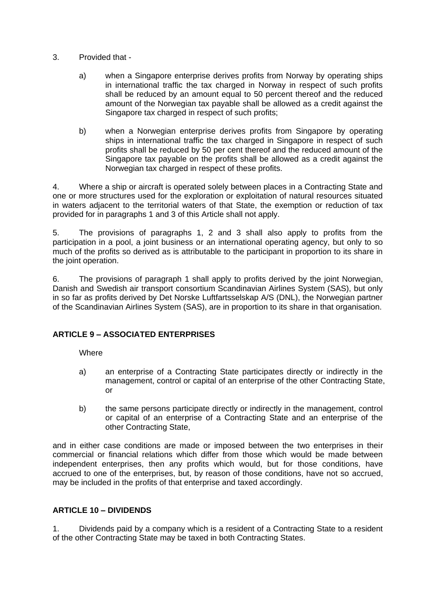- 3. Provided that
	- a) when a Singapore enterprise derives profits from Norway by operating ships in international traffic the tax charged in Norway in respect of such profits shall be reduced by an amount equal to 50 percent thereof and the reduced amount of the Norwegian tax payable shall be allowed as a credit against the Singapore tax charged in respect of such profits;
	- b) when a Norwegian enterprise derives profits from Singapore by operating ships in international traffic the tax charged in Singapore in respect of such profits shall be reduced by 50 per cent thereof and the reduced amount of the Singapore tax payable on the profits shall be allowed as a credit against the Norwegian tax charged in respect of these profits.

4. Where a ship or aircraft is operated solely between places in a Contracting State and one or more structures used for the exploration or exploitation of natural resources situated in waters adjacent to the territorial waters of that State, the exemption or reduction of tax provided for in paragraphs 1 and 3 of this Article shall not apply.

5. The provisions of paragraphs 1, 2 and 3 shall also apply to profits from the participation in a pool, a joint business or an international operating agency, but only to so much of the profits so derived as is attributable to the participant in proportion to its share in the joint operation.

6. The provisions of paragraph 1 shall apply to profits derived by the joint Norwegian, Danish and Swedish air transport consortium Scandinavian Airlines System (SAS), but only in so far as profits derived by Det Norske Luftfartsselskap A/S (DNL), the Norwegian partner of the Scandinavian Airlines System (SAS), are in proportion to its share in that organisation.

# **ARTICLE 9 – ASSOCIATED ENTERPRISES**

**Where** 

- a) an enterprise of a Contracting State participates directly or indirectly in the management, control or capital of an enterprise of the other Contracting State, or
- b) the same persons participate directly or indirectly in the management, control or capital of an enterprise of a Contracting State and an enterprise of the other Contracting State,

and in either case conditions are made or imposed between the two enterprises in their commercial or financial relations which differ from those which would be made between independent enterprises, then any profits which would, but for those conditions, have accrued to one of the enterprises, but, by reason of those conditions, have not so accrued, may be included in the profits of that enterprise and taxed accordingly.

#### **ARTICLE 10 – DIVIDENDS**

1. Dividends paid by a company which is a resident of a Contracting State to a resident of the other Contracting State may be taxed in both Contracting States.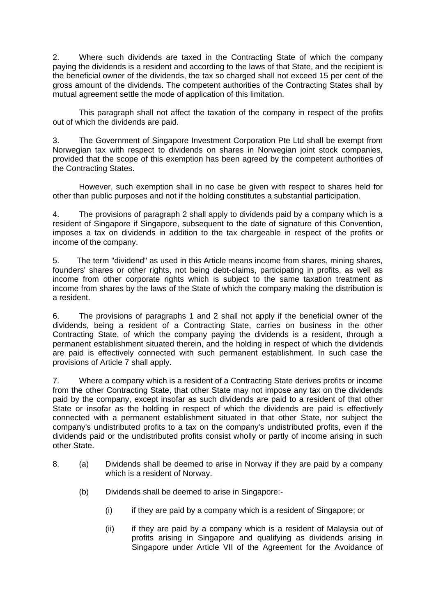2. Where such dividends are taxed in the Contracting State of which the company paying the dividends is a resident and according to the laws of that State, and the recipient is the beneficial owner of the dividends, the tax so charged shall not exceed 15 per cent of the gross amount of the dividends. The competent authorities of the Contracting States shall by mutual agreement settle the mode of application of this limitation.

This paragraph shall not affect the taxation of the company in respect of the profits out of which the dividends are paid.

3. The Government of Singapore Investment Corporation Pte Ltd shall be exempt from Norwegian tax with respect to dividends on shares in Norwegian joint stock companies, provided that the scope of this exemption has been agreed by the competent authorities of the Contracting States.

However, such exemption shall in no case be given with respect to shares held for other than public purposes and not if the holding constitutes a substantial participation.

4. The provisions of paragraph 2 shall apply to dividends paid by a company which is a resident of Singapore if Singapore, subsequent to the date of signature of this Convention, imposes a tax on dividends in addition to the tax chargeable in respect of the profits or income of the company.

5. The term "dividend" as used in this Article means income from shares, mining shares, founders' shares or other rights, not being debt-claims, participating in profits, as well as income from other corporate rights which is subject to the same taxation treatment as income from shares by the laws of the State of which the company making the distribution is a resident.

6. The provisions of paragraphs 1 and 2 shall not apply if the beneficial owner of the dividends, being a resident of a Contracting State, carries on business in the other Contracting State, of which the company paying the dividends is a resident, through a permanent establishment situated therein, and the holding in respect of which the dividends are paid is effectively connected with such permanent establishment. In such case the provisions of Article 7 shall apply.

7. Where a company which is a resident of a Contracting State derives profits or income from the other Contracting State, that other State may not impose any tax on the dividends paid by the company, except insofar as such dividends are paid to a resident of that other State or insofar as the holding in respect of which the dividends are paid is effectively connected with a permanent establishment situated in that other State, nor subject the company's undistributed profits to a tax on the company's undistributed profits, even if the dividends paid or the undistributed profits consist wholly or partly of income arising in such other State.

- 8. (a) Dividends shall be deemed to arise in Norway if they are paid by a company which is a resident of Norway.
	- (b) Dividends shall be deemed to arise in Singapore:-
		- (i) if they are paid by a company which is a resident of Singapore; or
		- (ii) if they are paid by a company which is a resident of Malaysia out of profits arising in Singapore and qualifying as dividends arising in Singapore under Article VII of the Agreement for the Avoidance of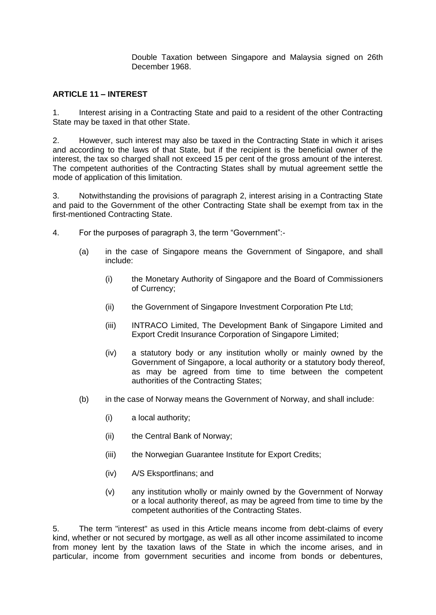Double Taxation between Singapore and Malaysia signed on 26th December 1968.

#### **ARTICLE 11 – INTEREST**

1. Interest arising in a Contracting State and paid to a resident of the other Contracting State may be taxed in that other State.

2. However, such interest may also be taxed in the Contracting State in which it arises and according to the laws of that State, but if the recipient is the beneficial owner of the interest, the tax so charged shall not exceed 15 per cent of the gross amount of the interest. The competent authorities of the Contracting States shall by mutual agreement settle the mode of application of this limitation.

3. Notwithstanding the provisions of paragraph 2, interest arising in a Contracting State and paid to the Government of the other Contracting State shall be exempt from tax in the first-mentioned Contracting State.

- 4. For the purposes of paragraph 3, the term "Government":-
	- (a) in the case of Singapore means the Government of Singapore, and shall include:
		- (i) the Monetary Authority of Singapore and the Board of Commissioners of Currency;
		- (ii) the Government of Singapore Investment Corporation Pte Ltd;
		- (iii) INTRACO Limited, The Development Bank of Singapore Limited and Export Credit Insurance Corporation of Singapore Limited;
		- (iv) a statutory body or any institution wholly or mainly owned by the Government of Singapore, a local authority or a statutory body thereof, as may be agreed from time to time between the competent authorities of the Contracting States;
	- (b) in the case of Norway means the Government of Norway, and shall include:
		- (i) a local authority;
		- (ii) the Central Bank of Norway;
		- (iii) the Norwegian Guarantee Institute for Export Credits;
		- (iv) A/S Eksportfinans; and
		- (v) any institution wholly or mainly owned by the Government of Norway or a local authority thereof, as may be agreed from time to time by the competent authorities of the Contracting States.

5. The term "interest" as used in this Article means income from debt-claims of every kind, whether or not secured by mortgage, as well as all other income assimilated to income from money lent by the taxation laws of the State in which the income arises, and in particular, income from government securities and income from bonds or debentures,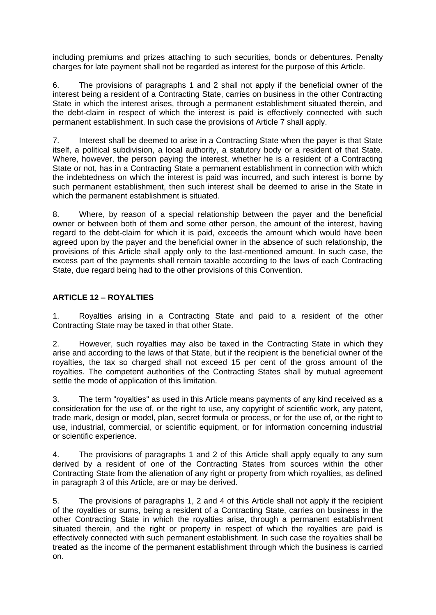including premiums and prizes attaching to such securities, bonds or debentures. Penalty charges for late payment shall not be regarded as interest for the purpose of this Article.

6. The provisions of paragraphs 1 and 2 shall not apply if the beneficial owner of the interest being a resident of a Contracting State, carries on business in the other Contracting State in which the interest arises, through a permanent establishment situated therein, and the debt-claim in respect of which the interest is paid is effectively connected with such permanent establishment. In such case the provisions of Article 7 shall apply.

7. Interest shall be deemed to arise in a Contracting State when the payer is that State itself, a political subdivision, a local authority, a statutory body or a resident of that State. Where, however, the person paying the interest, whether he is a resident of a Contracting State or not, has in a Contracting State a permanent establishment in connection with which the indebtedness on which the interest is paid was incurred, and such interest is borne by such permanent establishment, then such interest shall be deemed to arise in the State in which the permanent establishment is situated.

8. Where, by reason of a special relationship between the payer and the beneficial owner or between both of them and some other person, the amount of the interest, having regard to the debt-claim for which it is paid, exceeds the amount which would have been agreed upon by the payer and the beneficial owner in the absence of such relationship, the provisions of this Article shall apply only to the last-mentioned amount. In such case, the excess part of the payments shall remain taxable according to the laws of each Contracting State, due regard being had to the other provisions of this Convention.

## **ARTICLE 12 – ROYALTIES**

1. Royalties arising in a Contracting State and paid to a resident of the other Contracting State may be taxed in that other State.

2. However, such royalties may also be taxed in the Contracting State in which they arise and according to the laws of that State, but if the recipient is the beneficial owner of the royalties, the tax so charged shall not exceed 15 per cent of the gross amount of the royalties. The competent authorities of the Contracting States shall by mutual agreement settle the mode of application of this limitation.

3. The term "royalties" as used in this Article means payments of any kind received as a consideration for the use of, or the right to use, any copyright of scientific work, any patent, trade mark, design or model, plan, secret formula or process, or for the use of, or the right to use, industrial, commercial, or scientific equipment, or for information concerning industrial or scientific experience.

4. The provisions of paragraphs 1 and 2 of this Article shall apply equally to any sum derived by a resident of one of the Contracting States from sources within the other Contracting State from the alienation of any right or property from which royalties, as defined in paragraph 3 of this Article, are or may be derived.

5. The provisions of paragraphs 1, 2 and 4 of this Article shall not apply if the recipient of the royalties or sums, being a resident of a Contracting State, carries on business in the other Contracting State in which the royalties arise, through a permanent establishment situated therein, and the right or property in respect of which the royalties are paid is effectively connected with such permanent establishment. In such case the royalties shall be treated as the income of the permanent establishment through which the business is carried on.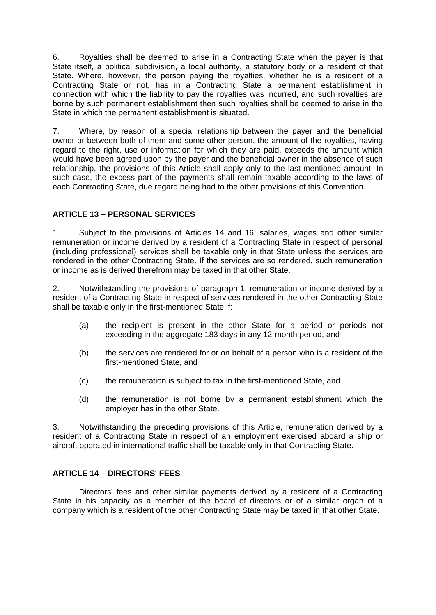6. Royalties shall be deemed to arise in a Contracting State when the payer is that State itself, a political subdivision, a local authority, a statutory body or a resident of that State. Where, however, the person paying the royalties, whether he is a resident of a Contracting State or not, has in a Contracting State a permanent establishment in connection with which the liability to pay the royalties was incurred, and such royalties are borne by such permanent establishment then such royalties shall be deemed to arise in the State in which the permanent establishment is situated.

7. Where, by reason of a special relationship between the payer and the beneficial owner or between both of them and some other person, the amount of the royalties, having regard to the right, use or information for which they are paid, exceeds the amount which would have been agreed upon by the payer and the beneficial owner in the absence of such relationship, the provisions of this Article shall apply only to the last-mentioned amount. In such case, the excess part of the payments shall remain taxable according to the laws of each Contracting State, due regard being had to the other provisions of this Convention.

## **ARTICLE 13 – PERSONAL SERVICES**

1. Subject to the provisions of Articles 14 and 16, salaries, wages and other similar remuneration or income derived by a resident of a Contracting State in respect of personal (including professional) services shall be taxable only in that State unless the services are rendered in the other Contracting State. If the services are so rendered, such remuneration or income as is derived therefrom may be taxed in that other State.

2. Notwithstanding the provisions of paragraph 1, remuneration or income derived by a resident of a Contracting State in respect of services rendered in the other Contracting State shall be taxable only in the first-mentioned State if:

- (a) the recipient is present in the other State for a period or periods not exceeding in the aggregate 183 days in any 12-month period, and
- (b) the services are rendered for or on behalf of a person who is a resident of the first-mentioned State, and
- (c) the remuneration is subject to tax in the first-mentioned State, and
- (d) the remuneration is not borne by a permanent establishment which the employer has in the other State.

3. Notwithstanding the preceding provisions of this Article, remuneration derived by a resident of a Contracting State in respect of an employment exercised aboard a ship or aircraft operated in international traffic shall be taxable only in that Contracting State.

#### **ARTICLE 14 – DIRECTORS' FEES**

Directors' fees and other similar payments derived by a resident of a Contracting State in his capacity as a member of the board of directors or of a similar organ of a company which is a resident of the other Contracting State may be taxed in that other State.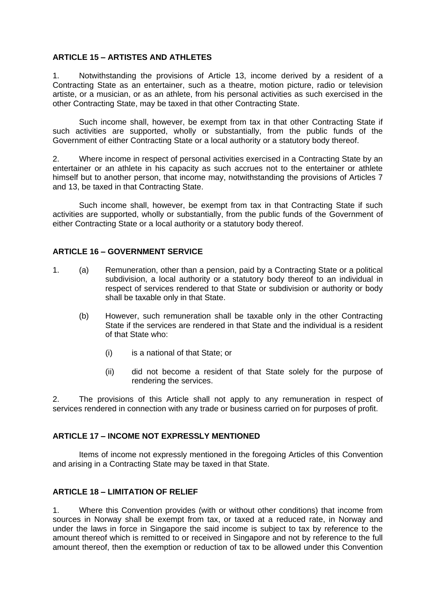#### **ARTICLE 15 – ARTISTES AND ATHLETES**

1. Notwithstanding the provisions of Article 13, income derived by a resident of a Contracting State as an entertainer, such as a theatre, motion picture, radio or television artiste, or a musician, or as an athlete, from his personal activities as such exercised in the other Contracting State, may be taxed in that other Contracting State.

Such income shall, however, be exempt from tax in that other Contracting State if such activities are supported, wholly or substantially, from the public funds of the Government of either Contracting State or a local authority or a statutory body thereof.

2. Where income in respect of personal activities exercised in a Contracting State by an entertainer or an athlete in his capacity as such accrues not to the entertainer or athlete himself but to another person, that income may, notwithstanding the provisions of Articles 7 and 13, be taxed in that Contracting State.

Such income shall, however, be exempt from tax in that Contracting State if such activities are supported, wholly or substantially, from the public funds of the Government of either Contracting State or a local authority or a statutory body thereof.

#### **ARTICLE 16 – GOVERNMENT SERVICE**

- 1. (a) Remuneration, other than a pension, paid by a Contracting State or a political subdivision, a local authority or a statutory body thereof to an individual in respect of services rendered to that State or subdivision or authority or body shall be taxable only in that State.
	- (b) However, such remuneration shall be taxable only in the other Contracting State if the services are rendered in that State and the individual is a resident of that State who:
		- (i) is a national of that State; or
		- (ii) did not become a resident of that State solely for the purpose of rendering the services.

2. The provisions of this Article shall not apply to any remuneration in respect of services rendered in connection with any trade or business carried on for purposes of profit.

#### **ARTICLE 17 – INCOME NOT EXPRESSLY MENTIONED**

Items of income not expressly mentioned in the foregoing Articles of this Convention and arising in a Contracting State may be taxed in that State.

#### **ARTICLE 18 – LIMITATION OF RELIEF**

1. Where this Convention provides (with or without other conditions) that income from sources in Norway shall be exempt from tax, or taxed at a reduced rate, in Norway and under the laws in force in Singapore the said income is subject to tax by reference to the amount thereof which is remitted to or received in Singapore and not by reference to the full amount thereof, then the exemption or reduction of tax to be allowed under this Convention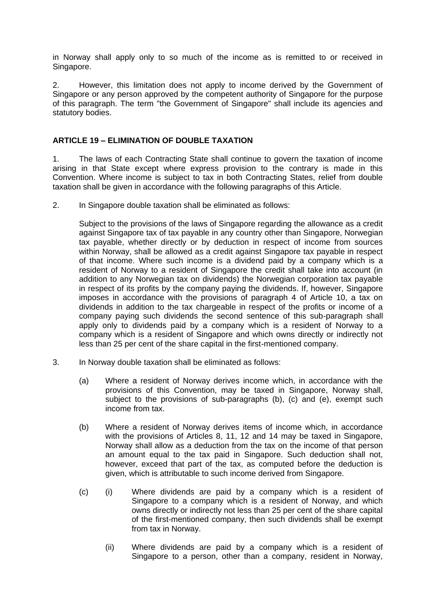in Norway shall apply only to so much of the income as is remitted to or received in Singapore.

2. However, this limitation does not apply to income derived by the Government of Singapore or any person approved by the competent authority of Singapore for the purpose of this paragraph. The term "the Government of Singapore" shall include its agencies and statutory bodies.

#### **ARTICLE 19 – ELIMINATION OF DOUBLE TAXATION**

1. The laws of each Contracting State shall continue to govern the taxation of income arising in that State except where express provision to the contrary is made in this Convention. Where income is subject to tax in both Contracting States, relief from double taxation shall be given in accordance with the following paragraphs of this Article.

2. In Singapore double taxation shall be eliminated as follows:

Subject to the provisions of the laws of Singapore regarding the allowance as a credit against Singapore tax of tax payable in any country other than Singapore, Norwegian tax payable, whether directly or by deduction in respect of income from sources within Norway, shall be allowed as a credit against Singapore tax payable in respect of that income. Where such income is a dividend paid by a company which is a resident of Norway to a resident of Singapore the credit shall take into account (in addition to any Norwegian tax on dividends) the Norwegian corporation tax payable in respect of its profits by the company paying the dividends. If, however, Singapore imposes in accordance with the provisions of paragraph 4 of Article 10, a tax on dividends in addition to the tax chargeable in respect of the profits or income of a company paying such dividends the second sentence of this sub-paragraph shall apply only to dividends paid by a company which is a resident of Norway to a company which is a resident of Singapore and which owns directly or indirectly not less than 25 per cent of the share capital in the first-mentioned company.

- 3. In Norway double taxation shall be eliminated as follows:
	- (a) Where a resident of Norway derives income which, in accordance with the provisions of this Convention, may be taxed in Singapore, Norway shall, subject to the provisions of sub-paragraphs (b), (c) and (e), exempt such income from tax.
	- (b) Where a resident of Norway derives items of income which, in accordance with the provisions of Articles 8, 11, 12 and 14 may be taxed in Singapore, Norway shall allow as a deduction from the tax on the income of that person an amount equal to the tax paid in Singapore. Such deduction shall not, however, exceed that part of the tax, as computed before the deduction is given, which is attributable to such income derived from Singapore.
	- (c) (i) Where dividends are paid by a company which is a resident of Singapore to a company which is a resident of Norway, and which owns directly or indirectly not less than 25 per cent of the share capital of the first-mentioned company, then such dividends shall be exempt from tax in Norway.
		- (ii) Where dividends are paid by a company which is a resident of Singapore to a person, other than a company, resident in Norway,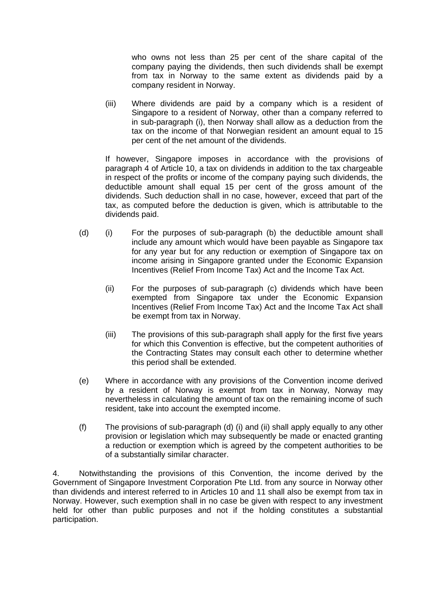who owns not less than 25 per cent of the share capital of the company paying the dividends, then such dividends shall be exempt from tax in Norway to the same extent as dividends paid by a company resident in Norway.

(iii) Where dividends are paid by a company which is a resident of Singapore to a resident of Norway, other than a company referred to in sub-paragraph (i), then Norway shall allow as a deduction from the tax on the income of that Norwegian resident an amount equal to 15 per cent of the net amount of the dividends.

If however, Singapore imposes in accordance with the provisions of paragraph 4 of Article 10, a tax on dividends in addition to the tax chargeable in respect of the profits or income of the company paying such dividends, the deductible amount shall equal 15 per cent of the gross amount of the dividends. Such deduction shall in no case, however, exceed that part of the tax, as computed before the deduction is given, which is attributable to the dividends paid.

- (d) (i) For the purposes of sub-paragraph (b) the deductible amount shall include any amount which would have been payable as Singapore tax for any year but for any reduction or exemption of Singapore tax on income arising in Singapore granted under the Economic Expansion Incentives (Relief From Income Tax) Act and the Income Tax Act.
	- (ii) For the purposes of sub-paragraph (c) dividends which have been exempted from Singapore tax under the Economic Expansion Incentives (Relief From Income Tax) Act and the Income Tax Act shall be exempt from tax in Norway.
	- (iii) The provisions of this sub-paragraph shall apply for the first five years for which this Convention is effective, but the competent authorities of the Contracting States may consult each other to determine whether this period shall be extended.
- (e) Where in accordance with any provisions of the Convention income derived by a resident of Norway is exempt from tax in Norway, Norway may nevertheless in calculating the amount of tax on the remaining income of such resident, take into account the exempted income.
- (f) The provisions of sub-paragraph (d) (i) and (ii) shall apply equally to any other provision or legislation which may subsequently be made or enacted granting a reduction or exemption which is agreed by the competent authorities to be of a substantially similar character.

4. Notwithstanding the provisions of this Convention, the income derived by the Government of Singapore Investment Corporation Pte Ltd. from any source in Norway other than dividends and interest referred to in Articles 10 and 11 shall also be exempt from tax in Norway. However, such exemption shall in no case be given with respect to any investment held for other than public purposes and not if the holding constitutes a substantial participation.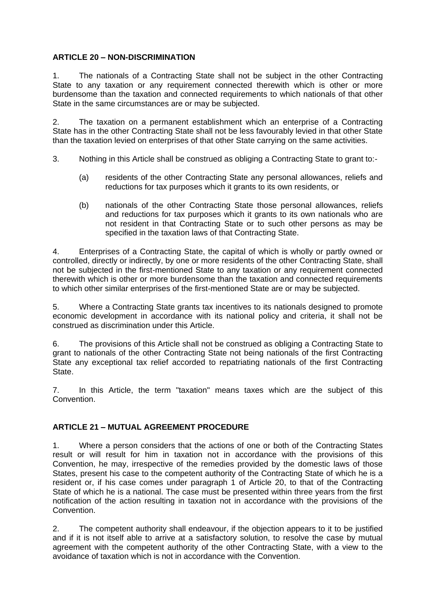## **ARTICLE 20 – NON-DISCRIMINATION**

1. The nationals of a Contracting State shall not be subject in the other Contracting State to any taxation or any requirement connected therewith which is other or more burdensome than the taxation and connected requirements to which nationals of that other State in the same circumstances are or may be subjected.

2. The taxation on a permanent establishment which an enterprise of a Contracting State has in the other Contracting State shall not be less favourably levied in that other State than the taxation levied on enterprises of that other State carrying on the same activities.

- 3. Nothing in this Article shall be construed as obliging a Contracting State to grant to:-
	- (a) residents of the other Contracting State any personal allowances, reliefs and reductions for tax purposes which it grants to its own residents, or
	- (b) nationals of the other Contracting State those personal allowances, reliefs and reductions for tax purposes which it grants to its own nationals who are not resident in that Contracting State or to such other persons as may be specified in the taxation laws of that Contracting State.

4. Enterprises of a Contracting State, the capital of which is wholly or partly owned or controlled, directly or indirectly, by one or more residents of the other Contracting State, shall not be subjected in the first-mentioned State to any taxation or any requirement connected therewith which is other or more burdensome than the taxation and connected requirements to which other similar enterprises of the first-mentioned State are or may be subjected.

5. Where a Contracting State grants tax incentives to its nationals designed to promote economic development in accordance with its national policy and criteria, it shall not be construed as discrimination under this Article.

6. The provisions of this Article shall not be construed as obliging a Contracting State to grant to nationals of the other Contracting State not being nationals of the first Contracting State any exceptional tax relief accorded to repatriating nationals of the first Contracting State.

7. In this Article, the term "taxation" means taxes which are the subject of this Convention.

# **ARTICLE 21 – MUTUAL AGREEMENT PROCEDURE**

1. Where a person considers that the actions of one or both of the Contracting States result or will result for him in taxation not in accordance with the provisions of this Convention, he may, irrespective of the remedies provided by the domestic laws of those States, present his case to the competent authority of the Contracting State of which he is a resident or, if his case comes under paragraph 1 of Article 20, to that of the Contracting State of which he is a national. The case must be presented within three years from the first notification of the action resulting in taxation not in accordance with the provisions of the Convention.

2. The competent authority shall endeavour, if the objection appears to it to be justified and if it is not itself able to arrive at a satisfactory solution, to resolve the case by mutual agreement with the competent authority of the other Contracting State, with a view to the avoidance of taxation which is not in accordance with the Convention.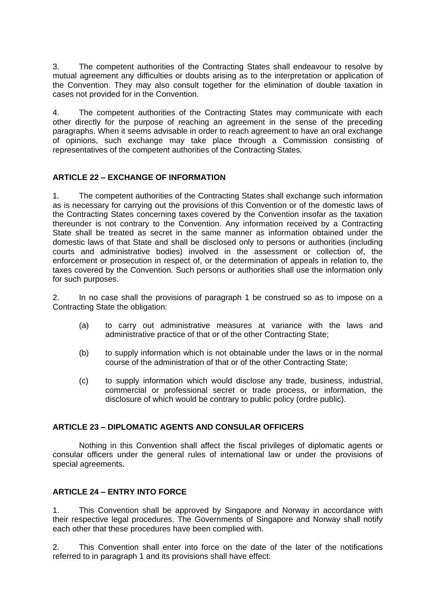3. The competent authorities of the Contracting States shall endeavour to resolve by mutual agreement any difficulties or doubts arising as to the interpretation or application of the Convention. They may also consult together for the elimination of double taxation in cases not provided for in the Convention.

4. The competent authorities of the Contracting States may communicate with each other directly for the purpose of reaching an agreement in the sense of the preceding paragraphs. When it seems advisable in order to reach agreement to have an oral exchange of opinions, such exchange may take place through a Commission consisting of representatives of the competent authorities of the Contracting States.

## **ARTICLE 22 – EXCHANGE OF INFORMATION**

1. The competent authorities of the Contracting States shall exchange such information as is necessary for carrying out the provisions of this Convention or of the domestic laws of the Contracting States concerning taxes covered by the Convention insofar as the taxation thereunder is not contrary to the Convention. Any information received by a Contracting State shall be treated as secret in the same manner as information obtained under the domestic laws of that State and shall be disclosed only to persons or authorities (including courts and administrative bodies) involved in the assessment or collection of, the enforcement or prosecution in respect of, or the determination of appeals in relation to, the taxes covered by the Convention. Such persons or authorities shall use the information only for such purposes.

2. In no case shall the provisions of paragraph 1 be construed so as to impose on a Contracting State the obligation:

- (a) to carry out administrative measures at variance with the laws and administrative practice of that or of the other Contracting State;
- (b) to supply information which is not obtainable under the laws or in the normal course of the administration of that or of the other Contracting State;
- (c) to supply information which would disclose any trade, business, industrial, commercial or professional secret or trade process, or information, the disclosure of which would be contrary to public policy (ordre public).

#### **ARTICLE 23 – DIPLOMATIC AGENTS AND CONSULAR OFFICERS**

Nothing in this Convention shall affect the fiscal privileges of diplomatic agents or consular officers under the general rules of international law or under the provisions of special agreements.

## **ARTICLE 24 – ENTRY INTO FORCE**

1. This Convention shall be approved by Singapore and Norway in accordance with their respective legal procedures. The Governments of Singapore and Norway shall notify each other that these procedures have been complied with.

2. This Convention shall enter into force on the date of the later of the notifications referred to in paragraph 1 and its provisions shall have effect: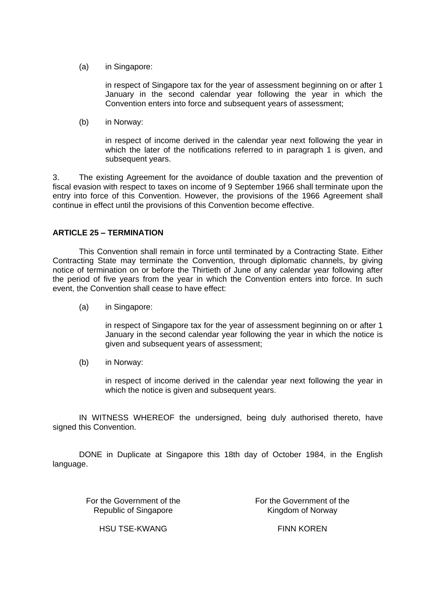(a) in Singapore:

in respect of Singapore tax for the year of assessment beginning on or after 1 January in the second calendar year following the year in which the Convention enters into force and subsequent years of assessment;

(b) in Norway:

in respect of income derived in the calendar year next following the year in which the later of the notifications referred to in paragraph 1 is given, and subsequent years.

3. The existing Agreement for the avoidance of double taxation and the prevention of fiscal evasion with respect to taxes on income of 9 September 1966 shall terminate upon the entry into force of this Convention. However, the provisions of the 1966 Agreement shall continue in effect until the provisions of this Convention become effective.

#### **ARTICLE 25 – TERMINATION**

This Convention shall remain in force until terminated by a Contracting State. Either Contracting State may terminate the Convention, through diplomatic channels, by giving notice of termination on or before the Thirtieth of June of any calendar year following after the period of five years from the year in which the Convention enters into force. In such event, the Convention shall cease to have effect:

(a) in Singapore:

in respect of Singapore tax for the year of assessment beginning on or after 1 January in the second calendar year following the year in which the notice is given and subsequent years of assessment;

(b) in Norway:

in respect of income derived in the calendar year next following the year in which the notice is given and subsequent years.

IN WITNESS WHEREOF the undersigned, being duly authorised thereto, have signed this Convention.

DONE in Duplicate at Singapore this 18th day of October 1984, in the English language.

> For the Government of the Republic of Singapore

For the Government of the Kingdom of Norway

HSU TSE-KWANG FINN KOREN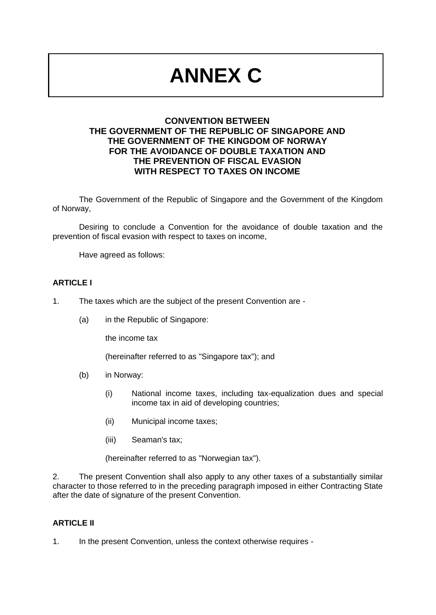# **ANNEX C**

# **CONVENTION BETWEEN THE GOVERNMENT OF THE REPUBLIC OF SINGAPORE AND THE GOVERNMENT OF THE KINGDOM OF NORWAY FOR THE AVOIDANCE OF DOUBLE TAXATION AND THE PREVENTION OF FISCAL EVASION WITH RESPECT TO TAXES ON INCOME**

The Government of the Republic of Singapore and the Government of the Kingdom of Norway,

Desiring to conclude a Convention for the avoidance of double taxation and the prevention of fiscal evasion with respect to taxes on income,

Have agreed as follows:

## **ARTICLE I**

1. The taxes which are the subject of the present Convention are -

(a) in the Republic of Singapore:

the income tax

(hereinafter referred to as "Singapore tax"); and

- (b) in Norway:
	- (i) National income taxes, including tax-equalization dues and special income tax in aid of developing countries;
	- (ii) Municipal income taxes;
	- (iii) Seaman's tax;

(hereinafter referred to as "Norwegian tax").

2. The present Convention shall also apply to any other taxes of a substantially similar character to those referred to in the preceding paragraph imposed in either Contracting State after the date of signature of the present Convention.

#### **ARTICLE II**

1. In the present Convention, unless the context otherwise requires -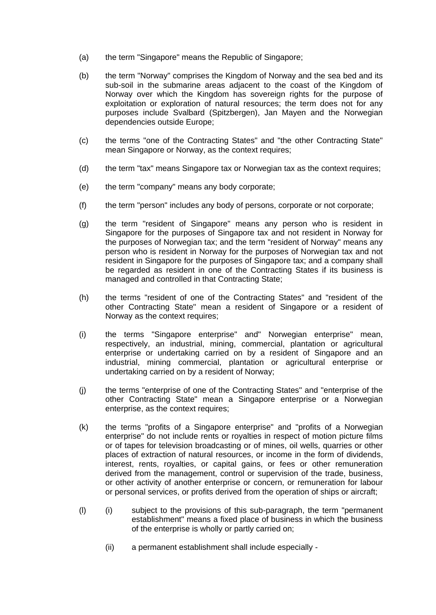- (a) the term "Singapore" means the Republic of Singapore;
- (b) the term "Norway" comprises the Kingdom of Norway and the sea bed and its sub-soil in the submarine areas adjacent to the coast of the Kingdom of Norway over which the Kingdom has sovereign rights for the purpose of exploitation or exploration of natural resources; the term does not for any purposes include Svalbard (Spitzbergen), Jan Mayen and the Norwegian dependencies outside Europe;
- (c) the terms "one of the Contracting States" and "the other Contracting State" mean Singapore or Norway, as the context requires;
- (d) the term "tax" means Singapore tax or Norwegian tax as the context requires;
- (e) the term "company" means any body corporate;
- (f) the term "person" includes any body of persons, corporate or not corporate;
- (g) the term "resident of Singapore" means any person who is resident in Singapore for the purposes of Singapore tax and not resident in Norway for the purposes of Norwegian tax; and the term "resident of Norway" means any person who is resident in Norway for the purposes of Norwegian tax and not resident in Singapore for the purposes of Singapore tax; and a company shall be regarded as resident in one of the Contracting States if its business is managed and controlled in that Contracting State;
- (h) the terms "resident of one of the Contracting States" and "resident of the other Contracting State" mean a resident of Singapore or a resident of Norway as the context requires;
- (i) the terms "Singapore enterprise" and" Norwegian enterprise" mean, respectively, an industrial, mining, commercial, plantation or agricultural enterprise or undertaking carried on by a resident of Singapore and an industrial, mining commercial, plantation or agricultural enterprise or undertaking carried on by a resident of Norway;
- (j) the terms "enterprise of one of the Contracting States" and "enterprise of the other Contracting State" mean a Singapore enterprise or a Norwegian enterprise, as the context requires;
- (k) the terms "profits of a Singapore enterprise" and "profits of a Norwegian enterprise" do not include rents or royalties in respect of motion picture films or of tapes for television broadcasting or of mines, oil wells, quarries or other places of extraction of natural resources, or income in the form of dividends, interest, rents, royalties, or capital gains, or fees or other remuneration derived from the management, control or supervision of the trade, business, or other activity of another enterprise or concern, or remuneration for labour or personal services, or profits derived from the operation of ships or aircraft;
- (l) (i) subject to the provisions of this sub-paragraph, the term "permanent establishment" means a fixed place of business in which the business of the enterprise is wholly or partly carried on;
	- (ii) a permanent establishment shall include especially -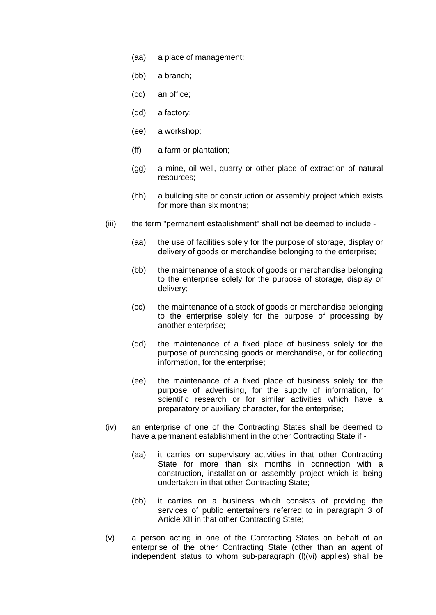- (aa) a place of management;
- (bb) a branch;
- (cc) an office;
- (dd) a factory;
- (ee) a workshop;
- (ff) a farm or plantation;
- (gg) a mine, oil well, quarry or other place of extraction of natural resources;
- (hh) a building site or construction or assembly project which exists for more than six months;
- (iii) the term "permanent establishment" shall not be deemed to include
	- (aa) the use of facilities solely for the purpose of storage, display or delivery of goods or merchandise belonging to the enterprise;
	- (bb) the maintenance of a stock of goods or merchandise belonging to the enterprise solely for the purpose of storage, display or delivery;
	- (cc) the maintenance of a stock of goods or merchandise belonging to the enterprise solely for the purpose of processing by another enterprise;
	- (dd) the maintenance of a fixed place of business solely for the purpose of purchasing goods or merchandise, or for collecting information, for the enterprise;
	- (ee) the maintenance of a fixed place of business solely for the purpose of advertising, for the supply of information, for scientific research or for similar activities which have a preparatory or auxiliary character, for the enterprise;
- (iv) an enterprise of one of the Contracting States shall be deemed to have a permanent establishment in the other Contracting State if -
	- (aa) it carries on supervisory activities in that other Contracting State for more than six months in connection with a construction, installation or assembly project which is being undertaken in that other Contracting State;
	- (bb) it carries on a business which consists of providing the services of public entertainers referred to in paragraph 3 of Article XII in that other Contracting State;
- (v) a person acting in one of the Contracting States on behalf of an enterprise of the other Contracting State (other than an agent of independent status to whom sub-paragraph (l)(vi) applies) shall be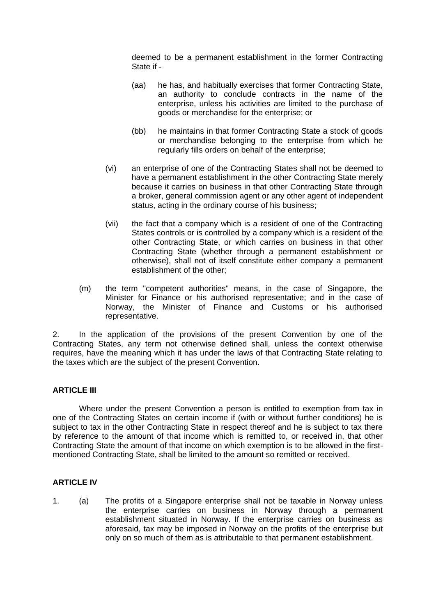deemed to be a permanent establishment in the former Contracting State if -

- (aa) he has, and habitually exercises that former Contracting State, an authority to conclude contracts in the name of the enterprise, unless his activities are limited to the purchase of goods or merchandise for the enterprise; or
- (bb) he maintains in that former Contracting State a stock of goods or merchandise belonging to the enterprise from which he regularly fills orders on behalf of the enterprise;
- (vi) an enterprise of one of the Contracting States shall not be deemed to have a permanent establishment in the other Contracting State merely because it carries on business in that other Contracting State through a broker, general commission agent or any other agent of independent status, acting in the ordinary course of his business;
- (vii) the fact that a company which is a resident of one of the Contracting States controls or is controlled by a company which is a resident of the other Contracting State, or which carries on business in that other Contracting State (whether through a permanent establishment or otherwise), shall not of itself constitute either company a permanent establishment of the other;
- (m) the term "competent authorities" means, in the case of Singapore, the Minister for Finance or his authorised representative; and in the case of Norway, the Minister of Finance and Customs or his authorised representative.

2. In the application of the provisions of the present Convention by one of the Contracting States, any term not otherwise defined shall, unless the context otherwise requires, have the meaning which it has under the laws of that Contracting State relating to the taxes which are the subject of the present Convention.

#### **ARTICLE III**

Where under the present Convention a person is entitled to exemption from tax in one of the Contracting States on certain income if (with or without further conditions) he is subject to tax in the other Contracting State in respect thereof and he is subject to tax there by reference to the amount of that income which is remitted to, or received in, that other Contracting State the amount of that income on which exemption is to be allowed in the firstmentioned Contracting State, shall be limited to the amount so remitted or received.

#### **ARTICLE IV**

1. (a) The profits of a Singapore enterprise shall not be taxable in Norway unless the enterprise carries on business in Norway through a permanent establishment situated in Norway. If the enterprise carries on business as aforesaid, tax may be imposed in Norway on the profits of the enterprise but only on so much of them as is attributable to that permanent establishment.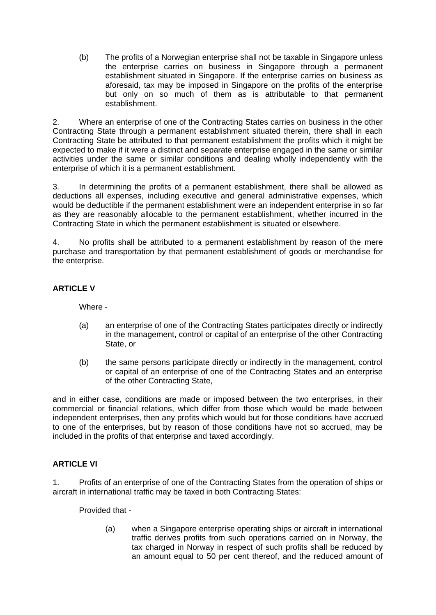(b) The profits of a Norwegian enterprise shall not be taxable in Singapore unless the enterprise carries on business in Singapore through a permanent establishment situated in Singapore. If the enterprise carries on business as aforesaid, tax may be imposed in Singapore on the profits of the enterprise but only on so much of them as is attributable to that permanent establishment.

2. Where an enterprise of one of the Contracting States carries on business in the other Contracting State through a permanent establishment situated therein, there shall in each Contracting State be attributed to that permanent establishment the profits which it might be expected to make if it were a distinct and separate enterprise engaged in the same or similar activities under the same or similar conditions and dealing wholly independently with the enterprise of which it is a permanent establishment.

3. In determining the profits of a permanent establishment, there shall be allowed as deductions all expenses, including executive and general administrative expenses, which would be deductible if the permanent establishment were an independent enterprise in so far as they are reasonably allocable to the permanent establishment, whether incurred in the Contracting State in which the permanent establishment is situated or elsewhere.

4. No profits shall be attributed to a permanent establishment by reason of the mere purchase and transportation by that permanent establishment of goods or merchandise for the enterprise.

# **ARTICLE V**

Where -

- (a) an enterprise of one of the Contracting States participates directly or indirectly in the management, control or capital of an enterprise of the other Contracting State, or
- (b) the same persons participate directly or indirectly in the management, control or capital of an enterprise of one of the Contracting States and an enterprise of the other Contracting State,

and in either case, conditions are made or imposed between the two enterprises, in their commercial or financial relations, which differ from those which would be made between independent enterprises, then any profits which would but for those conditions have accrued to one of the enterprises, but by reason of those conditions have not so accrued, may be included in the profits of that enterprise and taxed accordingly.

# **ARTICLE VI**

1. Profits of an enterprise of one of the Contracting States from the operation of ships or aircraft in international traffic may be taxed in both Contracting States:

Provided that -

(a) when a Singapore enterprise operating ships or aircraft in international traffic derives profits from such operations carried on in Norway, the tax charged in Norway in respect of such profits shall be reduced by an amount equal to 50 per cent thereof, and the reduced amount of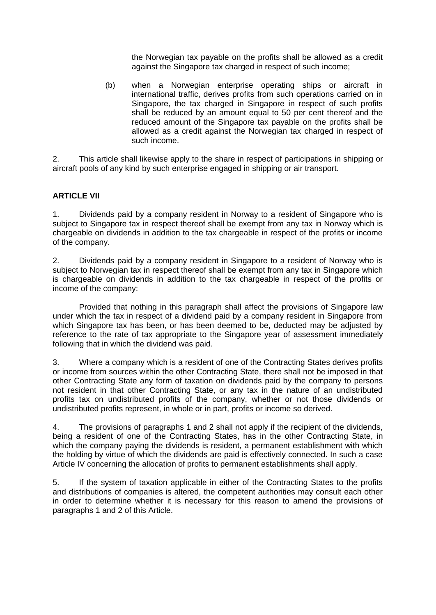the Norwegian tax payable on the profits shall be allowed as a credit against the Singapore tax charged in respect of such income;

(b) when a Norwegian enterprise operating ships or aircraft in international traffic, derives profits from such operations carried on in Singapore, the tax charged in Singapore in respect of such profits shall be reduced by an amount equal to 50 per cent thereof and the reduced amount of the Singapore tax payable on the profits shall be allowed as a credit against the Norwegian tax charged in respect of such income.

2. This article shall likewise apply to the share in respect of participations in shipping or aircraft pools of any kind by such enterprise engaged in shipping or air transport.

#### **ARTICLE VII**

1. Dividends paid by a company resident in Norway to a resident of Singapore who is subject to Singapore tax in respect thereof shall be exempt from any tax in Norway which is chargeable on dividends in addition to the tax chargeable in respect of the profits or income of the company.

2. Dividends paid by a company resident in Singapore to a resident of Norway who is subject to Norwegian tax in respect thereof shall be exempt from any tax in Singapore which is chargeable on dividends in addition to the tax chargeable in respect of the profits or income of the company:

Provided that nothing in this paragraph shall affect the provisions of Singapore law under which the tax in respect of a dividend paid by a company resident in Singapore from which Singapore tax has been, or has been deemed to be, deducted may be adjusted by reference to the rate of tax appropriate to the Singapore year of assessment immediately following that in which the dividend was paid.

3. Where a company which is a resident of one of the Contracting States derives profits or income from sources within the other Contracting State, there shall not be imposed in that other Contracting State any form of taxation on dividends paid by the company to persons not resident in that other Contracting State, or any tax in the nature of an undistributed profits tax on undistributed profits of the company, whether or not those dividends or undistributed profits represent, in whole or in part, profits or income so derived.

4. The provisions of paragraphs 1 and 2 shall not apply if the recipient of the dividends, being a resident of one of the Contracting States, has in the other Contracting State, in which the company paying the dividends is resident, a permanent establishment with which the holding by virtue of which the dividends are paid is effectively connected. In such a case Article IV concerning the allocation of profits to permanent establishments shall apply.

5. If the system of taxation applicable in either of the Contracting States to the profits and distributions of companies is altered, the competent authorities may consult each other in order to determine whether it is necessary for this reason to amend the provisions of paragraphs 1 and 2 of this Article.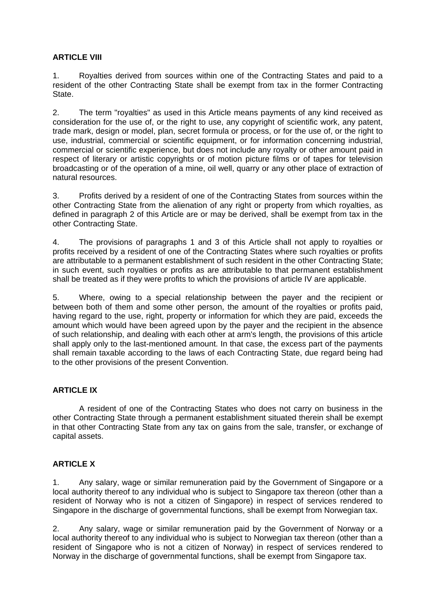## **ARTICLE VIII**

1. Royalties derived from sources within one of the Contracting States and paid to a resident of the other Contracting State shall be exempt from tax in the former Contracting State.

2. The term "royalties" as used in this Article means payments of any kind received as consideration for the use of, or the right to use, any copyright of scientific work, any patent, trade mark, design or model, plan, secret formula or process, or for the use of, or the right to use, industrial, commercial or scientific equipment, or for information concerning industrial, commercial or scientific experience, but does not include any royalty or other amount paid in respect of literary or artistic copyrights or of motion picture films or of tapes for television broadcasting or of the operation of a mine, oil well, quarry or any other place of extraction of natural resources.

3. Profits derived by a resident of one of the Contracting States from sources within the other Contracting State from the alienation of any right or property from which royalties, as defined in paragraph 2 of this Article are or may be derived, shall be exempt from tax in the other Contracting State.

4. The provisions of paragraphs 1 and 3 of this Article shall not apply to royalties or profits received by a resident of one of the Contracting States where such royalties or profits are attributable to a permanent establishment of such resident in the other Contracting State; in such event, such royalties or profits as are attributable to that permanent establishment shall be treated as if they were profits to which the provisions of article IV are applicable.

5. Where, owing to a special relationship between the payer and the recipient or between both of them and some other person, the amount of the royalties or profits paid, having regard to the use, right, property or information for which they are paid, exceeds the amount which would have been agreed upon by the payer and the recipient in the absence of such relationship, and dealing with each other at arm's length, the provisions of this article shall apply only to the last-mentioned amount. In that case, the excess part of the payments shall remain taxable according to the laws of each Contracting State, due regard being had to the other provisions of the present Convention.

# **ARTICLE IX**

A resident of one of the Contracting States who does not carry on business in the other Contracting State through a permanent establishment situated therein shall be exempt in that other Contracting State from any tax on gains from the sale, transfer, or exchange of capital assets.

#### **ARTICLE X**

1. Any salary, wage or similar remuneration paid by the Government of Singapore or a local authority thereof to any individual who is subject to Singapore tax thereon (other than a resident of Norway who is not a citizen of Singapore) in respect of services rendered to Singapore in the discharge of governmental functions, shall be exempt from Norwegian tax.

2. Any salary, wage or similar remuneration paid by the Government of Norway or a local authority thereof to any individual who is subject to Norwegian tax thereon (other than a resident of Singapore who is not a citizen of Norway) in respect of services rendered to Norway in the discharge of governmental functions, shall be exempt from Singapore tax.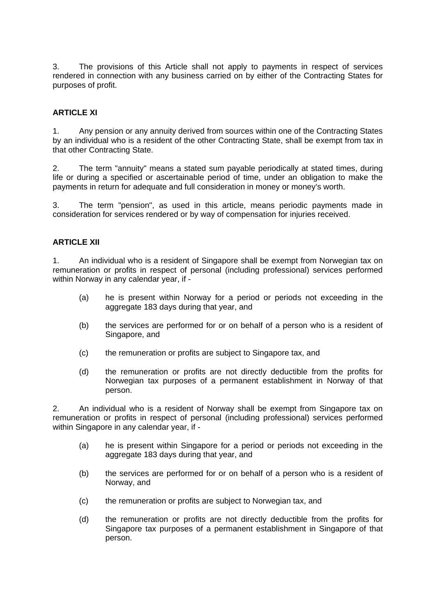3. The provisions of this Article shall not apply to payments in respect of services rendered in connection with any business carried on by either of the Contracting States for purposes of profit.

## **ARTICLE XI**

1. Any pension or any annuity derived from sources within one of the Contracting States by an individual who is a resident of the other Contracting State, shall be exempt from tax in that other Contracting State.

2. The term "annuity" means a stated sum payable periodically at stated times, during life or during a specified or ascertainable period of time, under an obligation to make the payments in return for adequate and full consideration in money or money's worth.

3. The term "pension", as used in this article, means periodic payments made in consideration for services rendered or by way of compensation for injuries received.

#### **ARTICLE XII**

1. An individual who is a resident of Singapore shall be exempt from Norwegian tax on remuneration or profits in respect of personal (including professional) services performed within Norway in any calendar year, if -

- (a) he is present within Norway for a period or periods not exceeding in the aggregate 183 days during that year, and
- (b) the services are performed for or on behalf of a person who is a resident of Singapore, and
- (c) the remuneration or profits are subject to Singapore tax, and
- (d) the remuneration or profits are not directly deductible from the profits for Norwegian tax purposes of a permanent establishment in Norway of that person.

2. An individual who is a resident of Norway shall be exempt from Singapore tax on remuneration or profits in respect of personal (including professional) services performed within Singapore in any calendar year, if -

- (a) he is present within Singapore for a period or periods not exceeding in the aggregate 183 days during that year, and
- (b) the services are performed for or on behalf of a person who is a resident of Norway, and
- (c) the remuneration or profits are subject to Norwegian tax, and
- (d) the remuneration or profits are not directly deductible from the profits for Singapore tax purposes of a permanent establishment in Singapore of that person.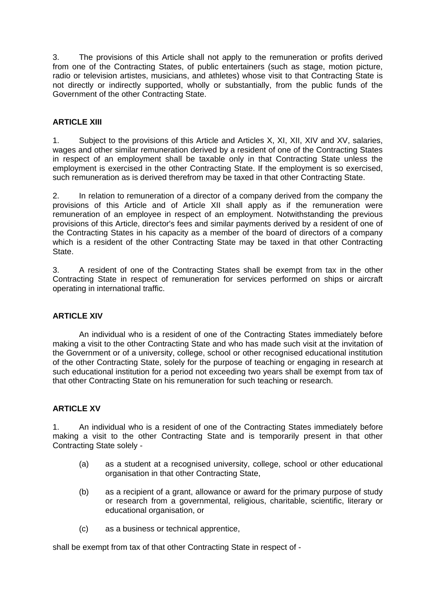3. The provisions of this Article shall not apply to the remuneration or profits derived from one of the Contracting States, of public entertainers (such as stage, motion picture, radio or television artistes, musicians, and athletes) whose visit to that Contracting State is not directly or indirectly supported, wholly or substantially, from the public funds of the Government of the other Contracting State.

# **ARTICLE XIII**

1. Subject to the provisions of this Article and Articles X, XI, XII, XIV and XV, salaries, wages and other similar remuneration derived by a resident of one of the Contracting States in respect of an employment shall be taxable only in that Contracting State unless the employment is exercised in the other Contracting State. If the employment is so exercised, such remuneration as is derived therefrom may be taxed in that other Contracting State.

2. In relation to remuneration of a director of a company derived from the company the provisions of this Article and of Article XII shall apply as if the remuneration were remuneration of an employee in respect of an employment. Notwithstanding the previous provisions of this Article, director's fees and similar payments derived by a resident of one of the Contracting States in his capacity as a member of the board of directors of a company which is a resident of the other Contracting State may be taxed in that other Contracting State.

3. A resident of one of the Contracting States shall be exempt from tax in the other Contracting State in respect of remuneration for services performed on ships or aircraft operating in international traffic.

# **ARTICLE XIV**

An individual who is a resident of one of the Contracting States immediately before making a visit to the other Contracting State and who has made such visit at the invitation of the Government or of a university, college, school or other recognised educational institution of the other Contracting State, solely for the purpose of teaching or engaging in research at such educational institution for a period not exceeding two years shall be exempt from tax of that other Contracting State on his remuneration for such teaching or research.

# **ARTICLE XV**

1. An individual who is a resident of one of the Contracting States immediately before making a visit to the other Contracting State and is temporarily present in that other Contracting State solely -

- (a) as a student at a recognised university, college, school or other educational organisation in that other Contracting State,
- (b) as a recipient of a grant, allowance or award for the primary purpose of study or research from a governmental, religious, charitable, scientific, literary or educational organisation, or
- (c) as a business or technical apprentice,

shall be exempt from tax of that other Contracting State in respect of -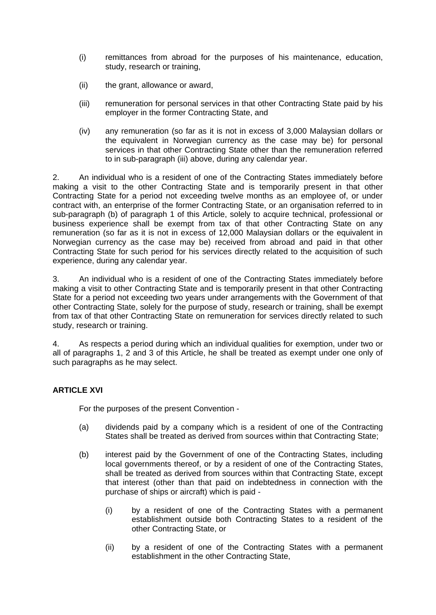- (i) remittances from abroad for the purposes of his maintenance, education, study, research or training,
- (ii) the grant, allowance or award,
- (iii) remuneration for personal services in that other Contracting State paid by his employer in the former Contracting State, and
- (iv) any remuneration (so far as it is not in excess of 3,000 Malaysian dollars or the equivalent in Norwegian currency as the case may be) for personal services in that other Contracting State other than the remuneration referred to in sub-paragraph (iii) above, during any calendar year.

2. An individual who is a resident of one of the Contracting States immediately before making a visit to the other Contracting State and is temporarily present in that other Contracting State for a period not exceeding twelve months as an employee of, or under contract with, an enterprise of the former Contracting State, or an organisation referred to in sub-paragraph (b) of paragraph 1 of this Article, solely to acquire technical, professional or business experience shall be exempt from tax of that other Contracting State on any remuneration (so far as it is not in excess of 12,000 Malaysian dollars or the equivalent in Norwegian currency as the case may be) received from abroad and paid in that other Contracting State for such period for his services directly related to the acquisition of such experience, during any calendar year.

3. An individual who is a resident of one of the Contracting States immediately before making a visit to other Contracting State and is temporarily present in that other Contracting State for a period not exceeding two years under arrangements with the Government of that other Contracting State, solely for the purpose of study, research or training, shall be exempt from tax of that other Contracting State on remuneration for services directly related to such study, research or training.

4. As respects a period during which an individual qualities for exemption, under two or all of paragraphs 1, 2 and 3 of this Article, he shall be treated as exempt under one only of such paragraphs as he may select.

#### **ARTICLE XVI**

For the purposes of the present Convention -

- (a) dividends paid by a company which is a resident of one of the Contracting States shall be treated as derived from sources within that Contracting State;
- (b) interest paid by the Government of one of the Contracting States, including local governments thereof, or by a resident of one of the Contracting States, shall be treated as derived from sources within that Contracting State, except that interest (other than that paid on indebtedness in connection with the purchase of ships or aircraft) which is paid -
	- (i) by a resident of one of the Contracting States with a permanent establishment outside both Contracting States to a resident of the other Contracting State, or
	- (ii) by a resident of one of the Contracting States with a permanent establishment in the other Contracting State,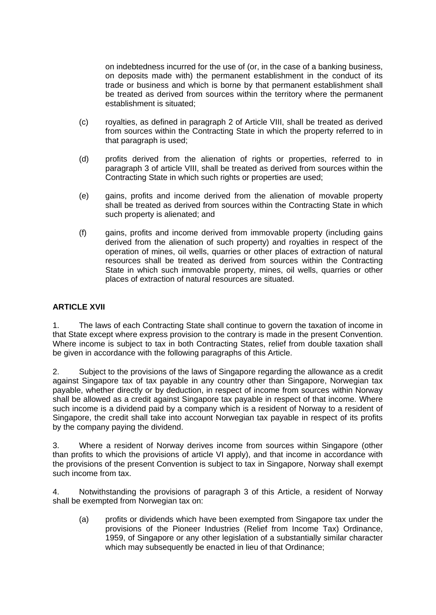on indebtedness incurred for the use of (or, in the case of a banking business, on deposits made with) the permanent establishment in the conduct of its trade or business and which is borne by that permanent establishment shall be treated as derived from sources within the territory where the permanent establishment is situated;

- (c) royalties, as defined in paragraph 2 of Article VIII, shall be treated as derived from sources within the Contracting State in which the property referred to in that paragraph is used;
- (d) profits derived from the alienation of rights or properties, referred to in paragraph 3 of article VIII, shall be treated as derived from sources within the Contracting State in which such rights or properties are used;
- (e) gains, profits and income derived from the alienation of movable property shall be treated as derived from sources within the Contracting State in which such property is alienated; and
- (f) gains, profits and income derived from immovable property (including gains derived from the alienation of such property) and royalties in respect of the operation of mines, oil wells, quarries or other places of extraction of natural resources shall be treated as derived from sources within the Contracting State in which such immovable property, mines, oil wells, quarries or other places of extraction of natural resources are situated.

# **ARTICLE XVII**

1. The laws of each Contracting State shall continue to govern the taxation of income in that State except where express provision to the contrary is made in the present Convention. Where income is subject to tax in both Contracting States, relief from double taxation shall be given in accordance with the following paragraphs of this Article.

2. Subject to the provisions of the laws of Singapore regarding the allowance as a credit against Singapore tax of tax payable in any country other than Singapore, Norwegian tax payable, whether directly or by deduction, in respect of income from sources within Norway shall be allowed as a credit against Singapore tax payable in respect of that income. Where such income is a dividend paid by a company which is a resident of Norway to a resident of Singapore, the credit shall take into account Norwegian tax payable in respect of its profits by the company paying the dividend.

3. Where a resident of Norway derives income from sources within Singapore (other than profits to which the provisions of article VI apply), and that income in accordance with the provisions of the present Convention is subject to tax in Singapore, Norway shall exempt such income from tax.

4. Notwithstanding the provisions of paragraph 3 of this Article, a resident of Norway shall be exempted from Norwegian tax on:

(a) profits or dividends which have been exempted from Singapore tax under the provisions of the Pioneer Industries (Relief from Income Tax) Ordinance, 1959, of Singapore or any other legislation of a substantially similar character which may subsequently be enacted in lieu of that Ordinance;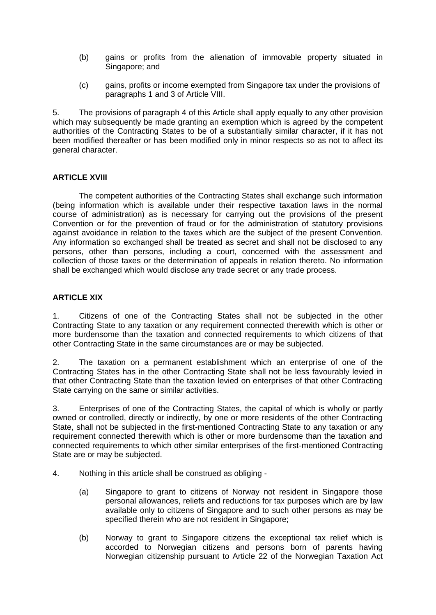- (b) gains or profits from the alienation of immovable property situated in Singapore; and
- (c) gains, profits or income exempted from Singapore tax under the provisions of paragraphs 1 and 3 of Article VIII.

5. The provisions of paragraph 4 of this Article shall apply equally to any other provision which may subsequently be made granting an exemption which is agreed by the competent authorities of the Contracting States to be of a substantially similar character, if it has not been modified thereafter or has been modified only in minor respects so as not to affect its general character.

#### **ARTICLE XVIII**

The competent authorities of the Contracting States shall exchange such information (being information which is available under their respective taxation laws in the normal course of administration) as is necessary for carrying out the provisions of the present Convention or for the prevention of fraud or for the administration of statutory provisions against avoidance in relation to the taxes which are the subject of the present Convention. Any information so exchanged shall be treated as secret and shall not be disclosed to any persons, other than persons, including a court, concerned with the assessment and collection of those taxes or the determination of appeals in relation thereto. No information shall be exchanged which would disclose any trade secret or any trade process.

#### **ARTICLE XIX**

1. Citizens of one of the Contracting States shall not be subjected in the other Contracting State to any taxation or any requirement connected therewith which is other or more burdensome than the taxation and connected requirements to which citizens of that other Contracting State in the same circumstances are or may be subjected.

2. The taxation on a permanent establishment which an enterprise of one of the Contracting States has in the other Contracting State shall not be less favourably levied in that other Contracting State than the taxation levied on enterprises of that other Contracting State carrying on the same or similar activities.

3. Enterprises of one of the Contracting States, the capital of which is wholly or partly owned or controlled, directly or indirectly, by one or more residents of the other Contracting State, shall not be subjected in the first-mentioned Contracting State to any taxation or any requirement connected therewith which is other or more burdensome than the taxation and connected requirements to which other similar enterprises of the first-mentioned Contracting State are or may be subjected.

- 4. Nothing in this article shall be construed as obliging
	- (a) Singapore to grant to citizens of Norway not resident in Singapore those personal allowances, reliefs and reductions for tax purposes which are by law available only to citizens of Singapore and to such other persons as may be specified therein who are not resident in Singapore;
	- (b) Norway to grant to Singapore citizens the exceptional tax relief which is accorded to Norwegian citizens and persons born of parents having Norwegian citizenship pursuant to Article 22 of the Norwegian Taxation Act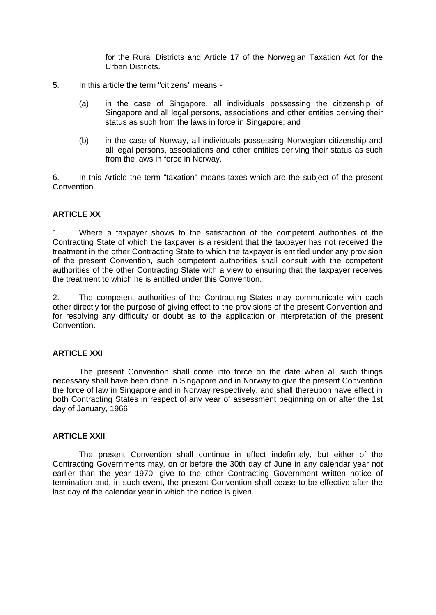for the Rural Districts and Article 17 of the Norwegian Taxation Act for the Urban Districts.

- 5. In this article the term "citizens" means
	- (a) in the case of Singapore, all individuals possessing the citizenship of Singapore and all legal persons, associations and other entities deriving their status as such from the laws in force in Singapore; and
	- (b) in the case of Norway, all individuals possessing Norwegian citizenship and all legal persons, associations and other entities deriving their status as such from the laws in force in Norway.

6. In this Article the term "taxation" means taxes which are the subject of the present Convention.

#### **ARTICLE XX**

1. Where a taxpayer shows to the satisfaction of the competent authorities of the Contracting State of which the taxpayer is a resident that the taxpayer has not received the treatment in the other Contracting State to which the taxpayer is entitled under any provision of the present Convention, such competent authorities shall consult with the competent authorities of the other Contracting State with a view to ensuring that the taxpayer receives the treatment to which he is entitled under this Convention.

2. The competent authorities of the Contracting States may communicate with each other directly for the purpose of giving effect to the provisions of the present Convention and for resolving any difficulty or doubt as to the application or interpretation of the present Convention.

#### **ARTICLE XXI**

The present Convention shall come into force on the date when all such things necessary shall have been done in Singapore and in Norway to give the present Convention the force of law in Singapore and in Norway respectively, and shall thereupon have effect in both Contracting States in respect of any year of assessment beginning on or after the 1st day of January, 1966.

#### **ARTICLE XXII**

The present Convention shall continue in effect indefinitely, but either of the Contracting Governments may, on or before the 30th day of June in any calendar year not earlier than the year 1970, give to the other Contracting Government written notice of termination and, in such event, the present Convention shall cease to be effective after the last day of the calendar year in which the notice is given.